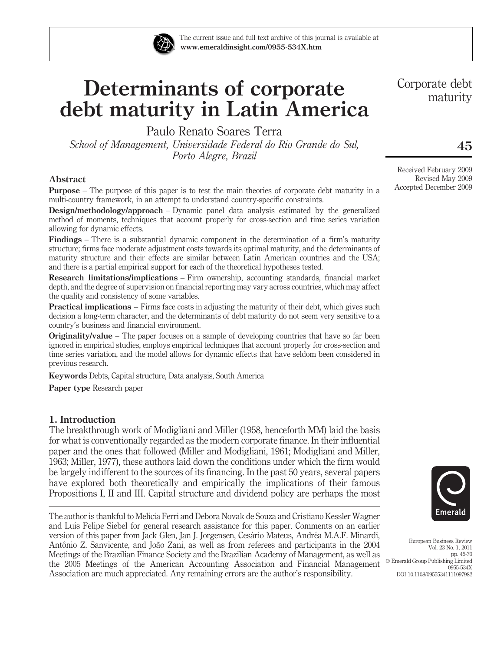

The current issue and full text archive of this journal is available at www.emeraldinsight.com/0955-534X.htm

# Determinants of corporate debt maturity in Latin America

Paulo Renato Soares Terra

School of Management, Universidade Federal do Rio Grande do Sul, Porto Alegre, Brazil

# Abstract

Purpose – The purpose of this paper is to test the main theories of corporate debt maturity in a multi-country framework, in an attempt to understand country-specific constraints.

Design/methodology/approach – Dynamic panel data analysis estimated by the generalized method of moments, techniques that account properly for cross-section and time series variation allowing for dynamic effects.

Findings – There is a substantial dynamic component in the determination of a firm's maturity structure; firms face moderate adjustment costs towards its optimal maturity, and the determinants of maturity structure and their effects are similar between Latin American countries and the USA; and there is a partial empirical support for each of the theoretical hypotheses tested.

Research limitations/implications – Firm ownership, accounting standards, financial market depth, and the degree of supervision on financial reporting may vary across countries, which may affect the quality and consistency of some variables.

Practical implications – Firms face costs in adjusting the maturity of their debt, which gives such decision a long-term character, and the determinants of debt maturity do not seem very sensitive to a country's business and financial environment.

**Originality/value** – The paper focuses on a sample of developing countries that have so far been ignored in empirical studies, employs empirical techniques that account properly for cross-section and time series variation, and the model allows for dynamic effects that have seldom been considered in previous research.

Keywords Debts, Capital structure, Data analysis, South America

Paper type Research paper

# 1. Introduction

The breakthrough work of Modigliani and Miller (1958, henceforth MM) laid the basis for what is conventionally regarded as the modern corporate finance. In their influential paper and the ones that followed (Miller and Modigliani, 1961; Modigliani and Miller, 1963; Miller, 1977), these authors laid down the conditions under which the firm would be largely indifferent to the sources of its financing. In the past 50 years, several papers have explored both theoretically and empirically the implications of their famous Propositions I, II and III. Capital structure and dividend policy are perhaps the most

The author is thankful to Melícia Ferri and Debora Novak de Souza and Cristiano Kessler Wagner and Luı´s Felipe Siebel for general research assistance for this paper. Comments on an earlier version of this paper from Jack Glen, Jan J. Jorgensen, Cesário Mateus, Andréa M.A.F. Minardi, Antônio Z. Sanvicente, and João Zani, as well as from referees and participants in the 2004 Meetings of the Brazilian Finance Society and the Brazilian Academy of Management, as well as the 2005 Meetings of the American Accounting Association and Financial Management Association are much appreciated. Any remaining errors are the author's responsibility.

Corporate debt maturity

45

Received February 2009 Revised May 2009 Accepted December 2009



European Business Review Vol. 23 No. 1, 2011 pp. 45-70  $©$  Emerald Group Publishing Limited 0955-534X DOI 10.1108/09555341111097982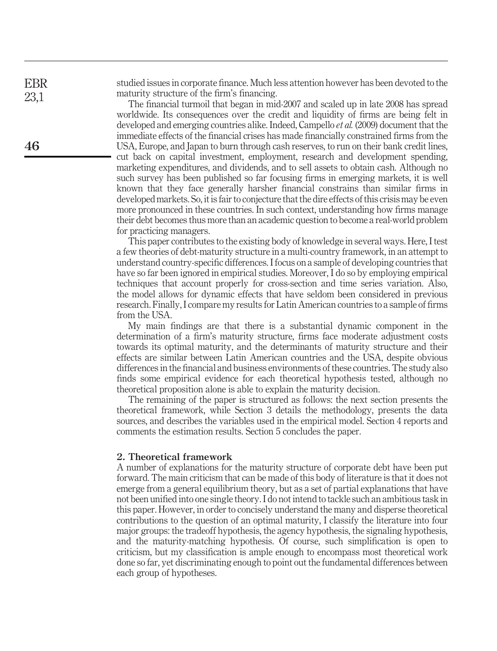studied issues in corporate finance. Much less attention however has been devoted to the maturity structure of the firm's financing.

The financial turmoil that began in mid-2007 and scaled up in late 2008 has spread worldwide. Its consequences over the credit and liquidity of firms are being felt in developed and emerging countries alike. Indeed, Campello *et al.* (2009) document that the immediate effects of the financial crises has made financially constrained firms from the USA, Europe, and Japan to burn through cash reserves, to run on their bank credit lines, cut back on capital investment, employment, research and development spending, marketing expenditures, and dividends, and to sell assets to obtain cash. Although no such survey has been published so far focusing firms in emerging markets, it is well known that they face generally harsher financial constrains than similar firms in developed markets. So, it is fair to conjecture that the dire effects of this crisis may be even more pronounced in these countries. In such context, understanding how firms manage their debt becomes thus more than an academic question to become a real-world problem for practicing managers.

This paper contributes to the existing body of knowledge in several ways. Here, I test a few theories of debt-maturity structure in a multi-country framework, in an attempt to understand country-specific differences. I focus on a sample of developing countries that have so far been ignored in empirical studies. Moreover, I do so by employing empirical techniques that account properly for cross-section and time series variation. Also, the model allows for dynamic effects that have seldom been considered in previous research. Finally, I compare my results for Latin American countries to a sample of firms from the USA.

My main findings are that there is a substantial dynamic component in the determination of a firm's maturity structure, firms face moderate adjustment costs towards its optimal maturity, and the determinants of maturity structure and their effects are similar between Latin American countries and the USA, despite obvious differences in the financial and business environments of these countries. The study also finds some empirical evidence for each theoretical hypothesis tested, although no theoretical proposition alone is able to explain the maturity decision.

The remaining of the paper is structured as follows: the next section presents the theoretical framework, while Section 3 details the methodology, presents the data sources, and describes the variables used in the empirical model. Section 4 reports and comments the estimation results. Section 5 concludes the paper.

#### 2. Theoretical framework

A number of explanations for the maturity structure of corporate debt have been put forward. The main criticism that can be made of this body of literature is that it does not emerge from a general equilibrium theory, but as a set of partial explanations that have not been unified into one single theory. I do not intend to tackle such an ambitious task in this paper. However, in order to concisely understand the many and disperse theoretical contributions to the question of an optimal maturity, I classify the literature into four major groups: the tradeoff hypothesis, the agency hypothesis, the signaling hypothesis, and the maturity-matching hypothesis. Of course, such simplification is open to criticism, but my classification is ample enough to encompass most theoretical work done so far, yet discriminating enough to point out the fundamental differences between each group of hypotheses.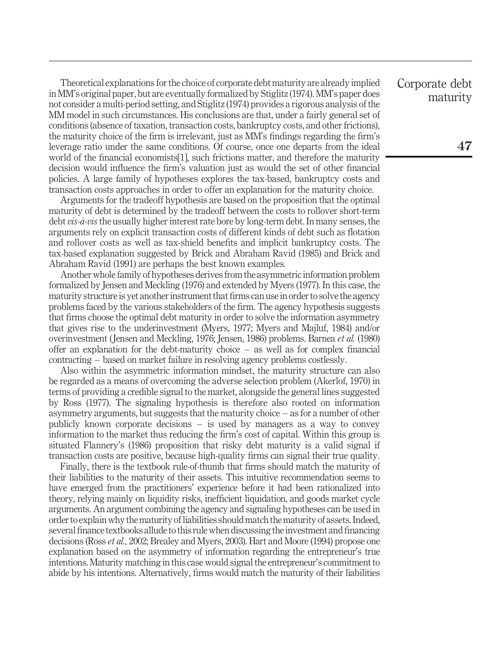Theoretical explanations for the choice of corporate debt maturity are already implied in MM's original paper, but are eventually formalized by Stiglitz (1974). MM's paper does not consider a multi-period setting, and Stiglitz (1974) provides a rigorous analysis of the MM model in such circumstances. His conclusions are that, under a fairly general set of conditions (absence of taxation, transaction costs, bankruptcy costs, and other frictions), the maturity choice of the firm is irrelevant, just as MM's findings regarding the firm's leverage ratio under the same conditions. Of course, once one departs from the ideal world of the financial economists[1], such frictions matter, and therefore the maturity decision would influence the firm's valuation just as would the set of other financial policies. A large family of hypotheses explores the tax-based, bankruptcy costs and transaction costs approaches in order to offer an explanation for the maturity choice.

Arguments for the tradeoff hypothesis are based on the proposition that the optimal maturity of debt is determined by the tradeoff between the costs to rollover short-term debt *vis-à-vis* the usually higher interest rate bore by long-term debt. In many senses, the arguments rely on explicit transaction costs of different kinds of debt such as flotation and rollover costs as well as tax-shield benefits and implicit bankruptcy costs. The tax-based explanation suggested by Brick and Abraham Ravid (1985) and Brick and Abraham Ravid (1991) are perhaps the best known examples.

Another whole family of hypotheses derives from the asymmetric information problem formalized by Jensen and Meckling (1976) and extended by Myers (1977). In this case, the maturity structure is yet another instrument that firms can use in order to solve the agency problems faced by the various stakeholders of the firm. The agency hypothesis suggests that firms choose the optimal debt maturity in order to solve the information asymmetry that gives rise to the underinvestment (Myers, 1977; Myers and Majluf, 1984) and/or overinvestment (Jensen and Meckling, 1976; Jensen, 1986) problems. Barnea et al. (1980) offer an explanation for the debt-maturity choice – as well as for complex financial contracting – based on market failure in resolving agency problems costlessly.

Also within the asymmetric information mindset, the maturity structure can also be regarded as a means of overcoming the adverse selection problem (Akerlof, 1970) in terms of providing a credible signal to the market, alongside the general lines suggested by Ross (1977). The signaling hypothesis is therefore also rooted on information asymmetry arguments, but suggests that the maturity choice – as for a number of other publicly known corporate decisions – is used by managers as a way to convey information to the market thus reducing the firm's cost of capital. Within this group is situated Flannery's (1986) proposition that risky debt maturity is a valid signal if transaction costs are positive, because high-quality firms can signal their true quality.

Finally, there is the textbook rule-of-thumb that firms should match the maturity of their liabilities to the maturity of their assets. This intuitive recommendation seems to have emerged from the practitioners' experience before it had been rationalized into theory, relying mainly on liquidity risks, inefficient liquidation, and goods market cycle arguments. An argument combining the agency and signaling hypotheses can be used in order to explain why the maturity of liabilities should match the maturity of assets. Indeed, several finance textbooks allude to this rule when discussing the investment and financing decisions (Ross et al., 2002; Brealey and Myers, 2003). Hart and Moore (1994) propose one explanation based on the asymmetry of information regarding the entrepreneur's true intentions. Maturity matching in this case would signal the entrepreneur's commitment to abide by his intentions. Alternatively, firms would match the maturity of their liabilities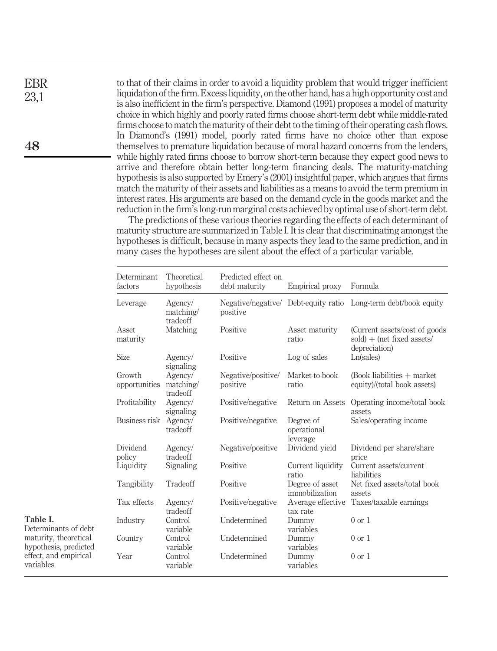to that of their claims in order to avoid a liquidity problem that would trigger inefficient liquidation of the firm. Excess liquidity, on the other hand, has a high opportunity cost and is also inefficient in the firm's perspective. Diamond (1991) proposes a model of maturity choice in which highly and poorly rated firms choose short-term debt while middle-rated firms choose to match the maturity of their debt to the timing of their operating cash flows. In Diamond's (1991) model, poorly rated firms have no choice other than expose themselves to premature liquidation because of moral hazard concerns from the lenders, while highly rated firms choose to borrow short-term because they expect good news to arrive and therefore obtain better long-term financing deals. The maturity-matching hypothesis is also supported by Emery's (2001) insightful paper, which argues that firms match the maturity of their assets and liabilities as a means to avoid the term premium in interest rates. His arguments are based on the demand cycle in the goods market and the reduction in the firm's long-run marginal costs achieved by optimal use of short-term debt.

The predictions of these various theories regarding the effects of each determinant of maturity structure are summarized in Table I. It is clear that discriminating amongst the hypotheses is difficult, because in many aspects they lead to the same prediction, and in many cases the hypotheses are silent about the effect of a particular variable.

| Determinant<br>factors  | Theoretical<br>hypothesis        | Predicted effect on<br>debt maturity | Empirical proxy                      | Formula                                                                        |
|-------------------------|----------------------------------|--------------------------------------|--------------------------------------|--------------------------------------------------------------------------------|
| Leverage                | Agency/<br>matching/<br>tradeoff | positive                             |                                      | Negative/negative/ Debt-equity ratio Long-term debt/book equity                |
| Asset<br>maturity       | Matching                         | Positive                             | Asset maturity<br>ratio              | (Current assets/cost of goods)<br>$sold$ + (net fixed assets/<br>depreciation) |
| <b>Size</b>             | Agency/<br>signaling             | Positive                             | Log of sales                         | Ln(sales)                                                                      |
| Growth<br>opportunities | Agency/<br>matching/<br>tradeoff | Negative/positive/<br>positive       | Market-to-book<br>ratio              | $(Book$ liabilities $+$ market<br>equity)/(total book assets)                  |
| Profitability           | Agency/<br>signaling             | Positive/negative                    | Return on Assets                     | Operating income/total book<br>assets                                          |
| Business risk           | Agency/<br>tradeoff              | Positive/negative                    | Degree of<br>operational<br>leverage | Sales/operating income                                                         |
| Dividend<br>policy      | Agency/<br>tradeoff              | Negative/positive                    | Dividend vield                       | Dividend per share/share<br>price                                              |
| Liquidity               | Signaling                        | Positive                             | Current liquidity<br>ratio           | Current assets/current<br>liabilities                                          |
| Tangibility             | Tradeoff                         | Positive                             | Degree of asset<br>immobilization    | Net fixed assets/total book<br>assets                                          |
| Tax effects             | Agency/<br>tradeoff              | Positive/negative                    | Average effective<br>tax rate        | Taxes/taxable earnings                                                         |
| Industry                | Control<br>variable              | Undetermined                         | Dummy<br>variables                   | $0 \text{ or } 1$                                                              |
| Country                 | Control<br>variable              | Undetermined                         | Dummy<br>variables                   | $0 \text{ or } 1$                                                              |
| Year                    | Control<br>variable              | Undetermined                         | Dummy<br>variables                   | $0 \text{ or } 1$                                                              |

# Table I.

Determinants of debt maturity, theoretical hypothesis, predicted effect, and empirical variables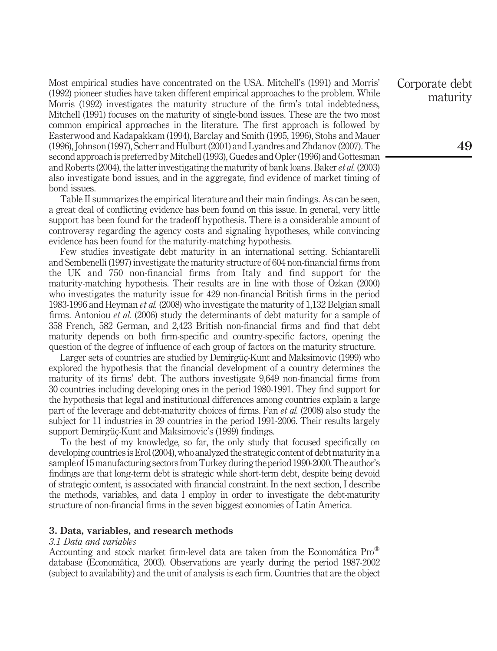Most empirical studies have concentrated on the USA. Mitchell's (1991) and Morris' (1992) pioneer studies have taken different empirical approaches to the problem. While Morris (1992) investigates the maturity structure of the firm's total indebtedness, Mitchell (1991) focuses on the maturity of single-bond issues. These are the two most common empirical approaches in the literature. The first approach is followed by Easterwood and Kadapakkam (1994), Barclay and Smith (1995, 1996), Stohs and Mauer (1996), Johnson (1997), Scherr and Hulburt (2001) and Lyandres and Zhdanov (2007). The second approach is preferred by Mitchell (1993), Guedes and Opler (1996) and Gottesman and Roberts (2004), the latter investigating the maturity of bank loans. Baker et al. (2003) also investigate bond issues, and in the aggregate, find evidence of market timing of bond issues.

Table II summarizes the empirical literature and their main findings. As can be seen, a great deal of conflicting evidence has been found on this issue. In general, very little support has been found for the tradeoff hypothesis. There is a considerable amount of controversy regarding the agency costs and signaling hypotheses, while convincing evidence has been found for the maturity-matching hypothesis.

Few studies investigate debt maturity in an international setting. Schiantarelli and Sembenelli (1997) investigate the maturity structure of 604 non-financial firms from the UK and 750 non-financial firms from Italy and find support for the maturity-matching hypothesis. Their results are in line with those of Ozkan (2000) who investigates the maturity issue for 429 non-financial British firms in the period 1983-1996 and Heyman et al. (2008) who investigate the maturity of 1,132 Belgian small firms. Antoniou *et al.* (2006) study the determinants of debt maturity for a sample of 358 French, 582 German, and 2,423 British non-financial firms and find that debt maturity depends on both firm-specific and country-specific factors, opening the question of the degree of influence of each group of factors on the maturity structure.

Larger sets of countries are studied by Demirgüç-Kunt and Maksimovic (1999) who explored the hypothesis that the financial development of a country determines the maturity of its firms' debt. The authors investigate 9,649 non-financial firms from 30 countries including developing ones in the period 1980-1991. They find support for the hypothesis that legal and institutional differences among countries explain a large part of the leverage and debt-maturity choices of firms. Fan et al. (2008) also study the subject for 11 industries in 39 countries in the period 1991-2006. Their results largely support Demirgüc-Kunt and Maksimovic's (1999) findings.

To the best of my knowledge, so far, the only study that focused specifically on developing countries is Erol (2004), who analyzed the strategic content of debt maturity in a sampleof 15manufacturingsectors from Turkey during theperiod 1990-2000. Theauthor's findings are that long-term debt is strategic while short-term debt, despite being devoid of strategic content, is associated with financial constraint. In the next section, I describe the methods, variables, and data I employ in order to investigate the debt-maturity structure of non-financial firms in the seven biggest economies of Latin America.

# 3. Data, variables, and research methods

# 3.1 Data and variables

Accounting and stock market firm-level data are taken from the Economática Pro database (Economa´tica, 2003). Observations are yearly during the period 1987-2002 (subject to availability) and the unit of analysis is each firm. Countries that are the object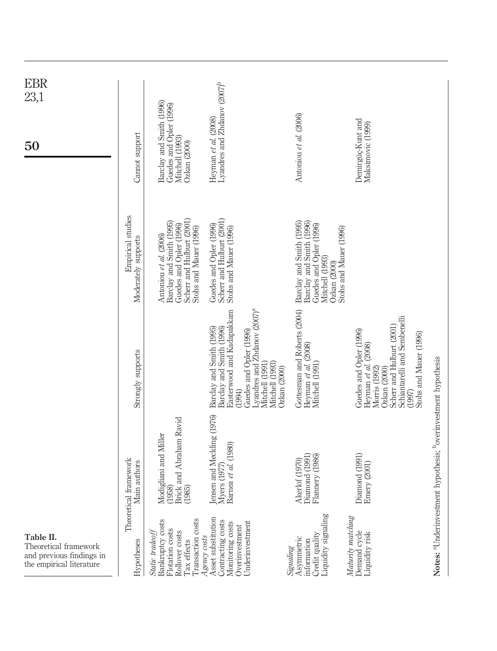| <b>EBR</b><br>23,1<br>50                                                                   | Cannot support                           | Barclay and Smith (1996)<br>Guedes and Opler (1996)<br>Mitchell (1993)<br>Ozkan (2000)                                               | Lyandres and Zhdanov (2007) <sup>b</sup><br>Heyman et al. (2008)                                                                                                                                                | Antoniou et al. (2006)                                                                                                                       | Demirgüç-Kunt and<br>Maksimovic (1999)                                                                                                                                              |                                                                                        |
|--------------------------------------------------------------------------------------------|------------------------------------------|--------------------------------------------------------------------------------------------------------------------------------------|-----------------------------------------------------------------------------------------------------------------------------------------------------------------------------------------------------------------|----------------------------------------------------------------------------------------------------------------------------------------------|-------------------------------------------------------------------------------------------------------------------------------------------------------------------------------------|----------------------------------------------------------------------------------------|
|                                                                                            | Empirical studies<br>Moderately supports | Scherr and Hulburt (2001)<br>Barclay and Smith (1995)<br>Guedes and Opler (1996)<br>Stohs and Mauer (1996)<br>Antoniou et al. (2006) | Scherr and Hulburt (2001)<br>Guedes and Opler (1996)<br>Stohs and Mauer (1996)                                                                                                                                  | Barclay and Smith (1995)<br>Barclay and Smith (1996)<br>Guedes and Opler (1996)<br>Stohs and Mauer (1996)<br>Mitchell (1993)<br>Ozkan (2000) |                                                                                                                                                                                     |                                                                                        |
|                                                                                            | Strongly supports                        |                                                                                                                                      | Lyandres and Zhdanov $(2007)^a$<br>Easterwood and Kadapakkam<br>Barclay and Smith (1995)<br>Barclay and Smith (1996)<br>Guedes and Opler (1996)<br>Mitchell (1991)<br>Mitchell (1993)<br>Ozkan (2000)<br>(1994) | Gottesman and Roberts (2004)<br>Heyman <i>et al. (2008)</i><br>Mitchell (1991)                                                               | Schiantarelli and Sembenelli<br>Scherr and Hulburt (2001)<br>Guedes and Opler (1996)<br>Stohs and Mauer (1996)<br>Heyman et al. $(2008)$<br>Morris (1992)<br>Ozkan (2000)<br>(1997) |                                                                                        |
|                                                                                            | framework<br>Main authors                | Modigitani and Miller<br>(1958)<br>Brick and Abraham Ravid<br>(1985)                                                                 | Jensen and Meckling (1976)<br>Myers (1977)<br>Barnea et al. (1980)                                                                                                                                              | Akerlof (1970)<br>Diamond (1991)<br>Flamery (1986)                                                                                           | Diamond (1991)<br>Emery (2001)                                                                                                                                                      | Notes: <sup>a</sup> Underinvestment hypothesis; <sup>b</sup> overinvestment hypothesis |
| Table II.<br>Theoretical framework<br>and previous findings in<br>the empirical literature | Theoretical<br>Hypotheses                | Transaction costs<br>Bankruptcy costs<br>Flotation costs<br>Rollover costs<br>Static tradeoff<br>Agency costs<br>Tax effects         | Asset substitution<br>Contracting costs<br>Underinvestment<br>Monitoring costs<br>Overinvestment                                                                                                                | Liquidity signaling<br>Credit quality<br>Asymmetric<br>information<br>Signaling                                                              | Maturity matching<br>Demand cycle<br>Liquidity risk                                                                                                                                 |                                                                                        |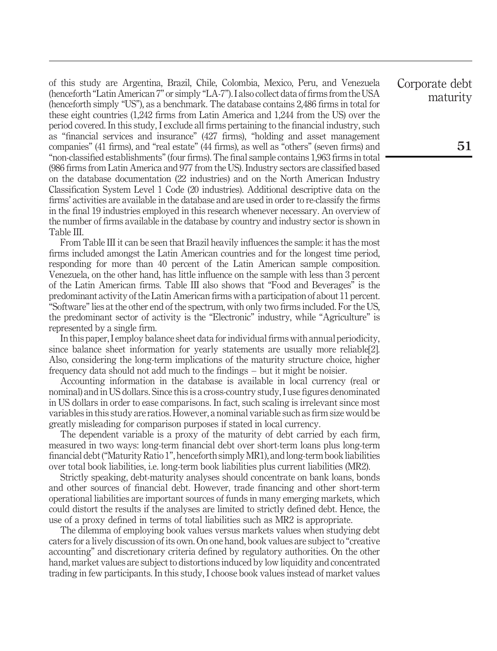of this study are Argentina, Brazil, Chile, Colombia, Mexico, Peru, and Venezuela (henceforth "Latin American 7" or simply "LA-7"). I also collect data of firms from the USA (henceforth simply "US"), as a benchmark. The database contains 2,486 firms in total for these eight countries (1,242 firms from Latin America and 1,244 from the US) over the period covered. In this study, I exclude all firms pertaining to the financial industry, such as "financial services and insurance" (427 firms), "holding and asset management companies" (41 firms), and "real estate" (44 firms), as well as "others" (seven firms) and "non-classified establishments" (four firms). The final sample contains 1,963 firms in total (986 firms from Latin America and 977 from the US). Industry sectors are classified based on the database documentation (22 industries) and on the North American Industry Classification System Level 1 Code (20 industries). Additional descriptive data on the firms' activities are available in the database and are used in order to re-classify the firms in the final 19 industries employed in this research whenever necessary. An overview of the number of firms available in the database by country and industry sector is shown in Table III.

From Table III it can be seen that Brazil heavily influences the sample: it has the most firms included amongst the Latin American countries and for the longest time period, responding for more than 40 percent of the Latin American sample composition. Venezuela, on the other hand, has little influence on the sample with less than 3 percent of the Latin American firms. Table III also shows that "Food and Beverages" is the predominant activity of the Latin American firms with a participation of about 11 percent. "Software" lies at the other end of the spectrum, with only two firms included. For the US, the predominant sector of activity is the "Electronic" industry, while "Agriculture" is represented by a single firm.

In this paper, I employ balance sheet data for individual firms with annual periodicity, since balance sheet information for yearly statements are usually more reliable[2]. Also, considering the long-term implications of the maturity structure choice, higher frequency data should not add much to the findings – but it might be noisier.

Accounting information in the database is available in local currency (real or nominal) and in US dollars. Since this is a cross-country study, I use figures denominated in US dollars in order to ease comparisons. In fact, such scaling is irrelevant since most variables in this study are ratios. However, a nominal variable such as firm size would be greatly misleading for comparison purposes if stated in local currency.

The dependent variable is a proxy of the maturity of debt carried by each firm, measured in two ways: long-term financial debt over short-term loans plus long-term financial debt ("Maturity Ratio 1", henceforth simply MR1), and long-term book liabilities over total book liabilities, i.e. long-term book liabilities plus current liabilities (MR2).

Strictly speaking, debt-maturity analyses should concentrate on bank loans, bonds and other sources of financial debt. However, trade financing and other short-term operational liabilities are important sources of funds in many emerging markets, which could distort the results if the analyses are limited to strictly defined debt. Hence, the use of a proxy defined in terms of total liabilities such as MR2 is appropriate.

The dilemma of employing book values versus markets values when studying debt caters for a lively discussion of its own. On one hand, book values are subject to "creative accounting" and discretionary criteria defined by regulatory authorities. On the other hand, market values are subject to distortions induced by low liquidity and concentrated trading in few participants. In this study, I choose book values instead of market values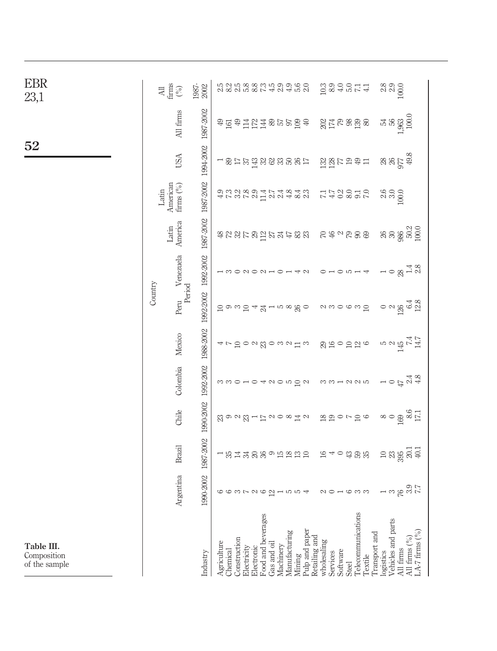| <b>EBR</b><br>23,1                         | $\Xi$             | firms $\binom{0}{0}$ | 2002<br>1987- |             |                                                                                                                |              |                           |                    |             |           |               |        |                                 |             |          |                          | 10300711                                                                                                                                                                                                                                                                                                                                                                                                                                                        |               | $2.8$<br>2.9      | 100.0                            |                                                                                                                                                                                                                                                                                                                                                                                       |  |
|--------------------------------------------|-------------------|----------------------|---------------|-------------|----------------------------------------------------------------------------------------------------------------|--------------|---------------------------|--------------------|-------------|-----------|---------------|--------|---------------------------------|-------------|----------|--------------------------|-----------------------------------------------------------------------------------------------------------------------------------------------------------------------------------------------------------------------------------------------------------------------------------------------------------------------------------------------------------------------------------------------------------------------------------------------------------------|---------------|-------------------|----------------------------------|---------------------------------------------------------------------------------------------------------------------------------------------------------------------------------------------------------------------------------------------------------------------------------------------------------------------------------------------------------------------------------------|--|
|                                            |                   | All firms            | 1987-2002     |             | 992912786599                                                                                                   |              |                           |                    |             |           |               |        |                                 |             |          |                          | 225898                                                                                                                                                                                                                                                                                                                                                                                                                                                          |               |                   |                                  | $\begin{matrix} 54 \\ 56 \\ 1,963 \\ 100.0 \end{matrix}$                                                                                                                                                                                                                                                                                                                              |  |
| 52                                         |                   | USA                  | 1994-2002     |             |                                                                                                                |              |                           |                    |             |           |               |        |                                 |             |          |                          | <b>BREas</b>                                                                                                                                                                                                                                                                                                                                                                                                                                                    |               |                   |                                  | $\frac{88}{977}$                                                                                                                                                                                                                                                                                                                                                                      |  |
|                                            | American<br>Latin | firms $(^{0}_{0})$   | 1987-2002     |             | 9. 3. 3. 8. 9. 4. 7. 4. 8. 4. 9. 4. 9. 4. 9. 4. 9. 4. 9. 4. 9. 4. 9. 4. 9. 4. 9. 4. 9. 4. 9. 4. 9. 4. 9. 4. 9. |              |                           |                    |             |           |               |        |                                 |             |          |                          | 7.58852                                                                                                                                                                                                                                                                                                                                                                                                                                                         |               | $\frac{2.6}{3.0}$ | 100.0                            |                                                                                                                                                                                                                                                                                                                                                                                       |  |
|                                            | Latin             | America              | 1987-2002     |             | 98858257772                                                                                                    |              |                           |                    |             |           |               |        |                                 |             |          |                          | $\begin{array}{l} \mathcal{L} \mathcal{L} \mathcal{L} \mathcal{L} \mathcal{L} \mathcal{L} \mathcal{L} \mathcal{L} \mathcal{L} \mathcal{L} \mathcal{L} \mathcal{L} \mathcal{L} \mathcal{L} \mathcal{L} \mathcal{L} \mathcal{L} \mathcal{L} \mathcal{L} \mathcal{L} \mathcal{L} \mathcal{L} \mathcal{L} \mathcal{L} \mathcal{L} \mathcal{L} \mathcal{L} \mathcal{L} \mathcal{L} \mathcal{L} \mathcal{L} \mathcal{L} \mathcal{L} \mathcal{L} \mathcal{L} \mathcal$ |               |                   |                                  |                                                                                                                                                                                                                                                                                                                                                                                       |  |
|                                            |                   | Peru Venezuela       | 1992-2002     |             | <b>18000010140</b>                                                                                             |              |                           |                    |             |           |               |        |                                 |             |          |                          | $\circ$ $\circ$ $\circ$ $\circ$ $\circ$ $\circ$ $\circ$                                                                                                                                                                                                                                                                                                                                                                                                         |               |                   |                                  | $108$ $\frac{48}{18}$                                                                                                                                                                                                                                                                                                                                                                 |  |
|                                            | Country           | Period               | 1992-2002     |             | <b>100014315880</b>                                                                                            |              |                           |                    |             |           |               |        |                                 |             |          |                          | anocng                                                                                                                                                                                                                                                                                                                                                                                                                                                          |               |                   | $\circ$ $\approx$ $\frac{8}{10}$ | $64 \over 12.8$                                                                                                                                                                                                                                                                                                                                                                       |  |
|                                            |                   | Mexico               | 1988-2002     |             | 4 r g o a g o a a d d a                                                                                        |              |                           |                    |             |           |               |        |                                 |             |          |                          | $R = 220$                                                                                                                                                                                                                                                                                                                                                                                                                                                       |               |                   |                                  | $\begin{array}{c} 5 \\ 2 \\ 4 \\ 5 \\ 1 \\ 4 \\ 7 \\ 1 \\ 4 \\ 7 \\ 1 \\ 4 \\ 7 \\ 1 \\ 4 \\ 7 \\ 1 \\ 4 \\ 7 \\ 1 \\ 4 \\ 7 \\ 1 \\ 4 \\ 7 \\ 1 \\ 4 \\ 7 \\ 4 \\ 7 \\ 8 \\ 1 \\ 7 \\ 4 \\ 7 \\ 8 \\ 7 \\ 8 \\ 7 \\ 8 \\ 9 \\ 1 \\ 9 \\ 1 \\ 9 \\ 1 \\ 9 \\ 1 \\ 9 \\ 1 \\ 9 \\ 1 \\ 9 \\ 1 \\ 9 \\ 1 \\ 9 \\ 1 \\ 9 \\ 1 \\ 9 \\ 1 \\ 9 \\ 1 \\ 9 \\ 1 \\ 9 \\ 1 \\ 9 \\ 1 \\ 9 \\$ |  |
|                                            |                   | Colombia             | 1992-2002     |             | nno-otuongu                                                                                                    |              |                           |                    |             |           |               |        |                                 |             |          |                          | $\mathfrak{O} \mathfrak{O} \rightarrow \mathfrak{O} \mathfrak{O} \mathfrak{O} \mathfrak{O}$                                                                                                                                                                                                                                                                                                                                                                     |               |                   |                                  | 104748                                                                                                                                                                                                                                                                                                                                                                                |  |
|                                            |                   | Chile                | 1990-2002     |             | $g \circ \alpha g - \sum \alpha \circ \alpha \neq \alpha$                                                      |              |                           |                    |             |           |               |        |                                 |             |          |                          | $\mathfrak{A} \mathfrak{A} \circ \mathfrak{L} \circ \mathfrak{S}$                                                                                                                                                                                                                                                                                                                                                                                               |               | $\infty$          |                                  | $\begin{array}{c} 169 \\ 8.6 \\ 17.1 \end{array}$                                                                                                                                                                                                                                                                                                                                     |  |
|                                            |                   | Brazil               | 1987-2002     |             | 18238894221                                                                                                    |              |                           |                    |             |           |               |        |                                 | 16          |          |                          | 403B                                                                                                                                                                                                                                                                                                                                                                                                                                                            |               |                   |                                  | 188831                                                                                                                                                                                                                                                                                                                                                                                |  |
|                                            |                   | Argentina            | 990-2002      |             | cowracgrost                                                                                                    |              |                           |                    |             |           |               |        |                                 |             |          |                          | $\Omega$ $\Omega$ $\sim$ $\sim$ $\Omega$ $\Omega$ $\Omega$                                                                                                                                                                                                                                                                                                                                                                                                      |               |                   |                                  | $1 \text{ m} \frac{6}{2} \frac{3}{2}$                                                                                                                                                                                                                                                                                                                                                 |  |
| Table III.<br>Composition<br>of the sample |                   |                      | Industry      | Agriculture | Chemical                                                                                                       | Construction | Electronic<br>Electricity | Food and beverages | Gas and oil | Machinery | Manufacturing | Mining | Pulp and paper<br>Retailing and | wholesaling | Services | Software<br><b>Steel</b> | Telecommunications<br>Textile                                                                                                                                                                                                                                                                                                                                                                                                                                   | Transport and | logistics         | Vehicles and parts               | $LA-7$ firms $(^{\circ}\!/_{\!0})$<br>All firms $\frac{1}{2}$ All firms $\binom{9}{0}$                                                                                                                                                                                                                                                                                                |  |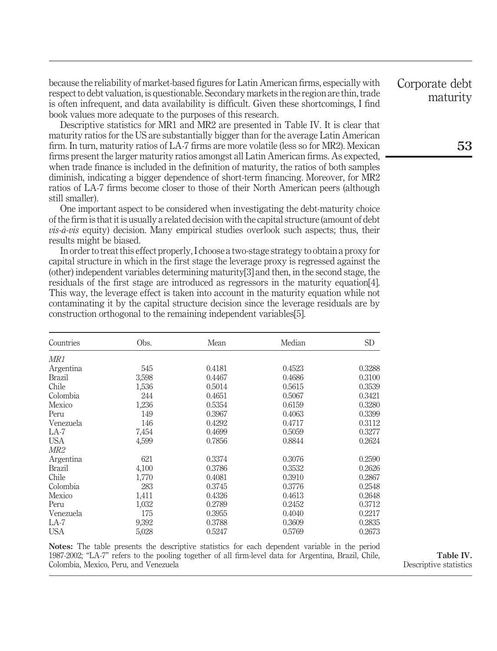because the reliability of market-based figures for Latin American firms, especially with respect to debt valuation, is questionable. Secondary markets in the region are thin, trade is often infrequent, and data availability is difficult. Given these shortcomings, I find book values more adequate to the purposes of this research.

Descriptive statistics for MR1 and MR2 are presented in Table IV. It is clear that maturity ratios for the US are substantially bigger than for the average Latin American firm. In turn, maturity ratios of LA-7 firms are more volatile (less so for MR2). Mexican firms present the larger maturity ratios amongst all Latin American firms. As expected, when trade finance is included in the definition of maturity, the ratios of both samples diminish, indicating a bigger dependence of short-term financing. Moreover, for MR2 ratios of LA-7 firms become closer to those of their North American peers (although still smaller).

One important aspect to be considered when investigating the debt-maturity choice of the firm is that it is usually a related decision with the capital structure (amount of debt  $vis-\hat{a}$ -vis equity) decision. Many empirical studies overlook such aspects; thus, their results might be biased.

In order to treat this effect properly, I choose a two-stage strategy to obtain a proxy for capital structure in which in the first stage the leverage proxy is regressed against the (other) independent variables determining maturity[3] and then, in the second stage, the residuals of the first stage are introduced as regressors in the maturity equation[4]. This way, the leverage effect is taken into account in the maturity equation while not contaminating it by the capital structure decision since the leverage residuals are by construction orthogonal to the remaining independent variables[5].

| Countries  | Obs.  | Mean   | Median | SD     |
|------------|-------|--------|--------|--------|
| MR1        |       |        |        |        |
| Argentina  | 545   | 0.4181 | 0.4523 | 0.3288 |
| Brazil     | 3,598 | 0.4467 | 0.4686 | 0.3100 |
| Chile      | 1,536 | 0.5014 | 0.5615 | 0.3539 |
| Colombia   | 244   | 0.4651 | 0.5067 | 0.3421 |
| Mexico     | 1,236 | 0.5354 | 0.6159 | 0.3280 |
| Peru       | 149   | 0.3967 | 0.4063 | 0.3399 |
| Venezuela  | 146   | 0.4292 | 0.4717 | 0.3112 |
| LA-7       | 7,454 | 0.4699 | 0.5059 | 0.3277 |
| <b>USA</b> | 4,599 | 0.7856 | 0.8844 | 0.2624 |
| <i>MR2</i> |       |        |        |        |
| Argentina  | 621   | 0.3374 | 0.3076 | 0.2590 |
| Brazil     | 4,100 | 0.3786 | 0.3532 | 0.2626 |
| Chile      | 1,770 | 0.4081 | 0.3910 | 0.2867 |
| Colombia   | 283   | 0.3745 | 0.3776 | 0.2548 |
| Mexico     | 1,411 | 0.4326 | 0.4613 | 0.2648 |
| Peru       | 1,032 | 0.2789 | 0.2452 | 0.3712 |
| Venezuela  | 175   | 0.3955 | 0.4040 | 0.2217 |
| LA-7       | 9,392 | 0.3788 | 0.3609 | 0.2835 |
| <b>USA</b> | 5,028 | 0.5247 | 0.5769 | 0.2673 |

Notes: The table presents the descriptive statistics for each dependent variable in the period 1987-2002; "LA-7" refers to the pooling together of all firm-level data for Argentina, Brazil, Chile, Colombia, Mexico, Peru, and Venezuela

Table IV. Descriptive statistics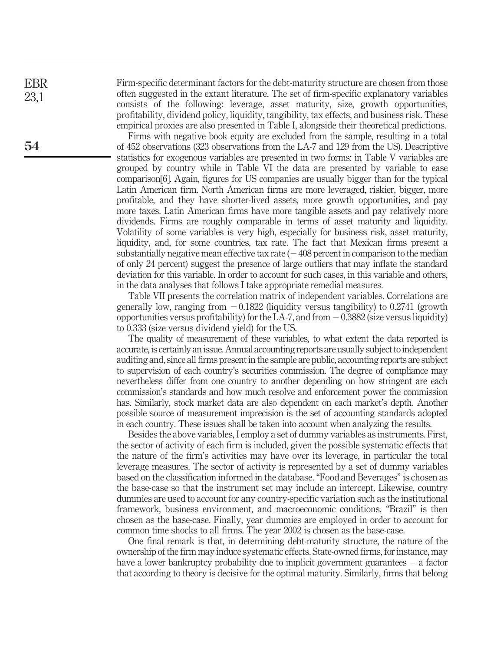Firm-specific determinant factors for the debt-maturity structure are chosen from those often suggested in the extant literature. The set of firm-specific explanatory variables consists of the following: leverage, asset maturity, size, growth opportunities, profitability, dividend policy, liquidity, tangibility, tax effects, and business risk. These empirical proxies are also presented in Table I, alongside their theoretical predictions.

Firms with negative book equity are excluded from the sample, resulting in a total of 452 observations (323 observations from the LA-7 and 129 from the US). Descriptive statistics for exogenous variables are presented in two forms: in Table V variables are grouped by country while in Table VI the data are presented by variable to ease comparison[6]. Again, figures for US companies are usually bigger than for the typical Latin American firm. North American firms are more leveraged, riskier, bigger, more profitable, and they have shorter-lived assets, more growth opportunities, and pay more taxes. Latin American firms have more tangible assets and pay relatively more dividends. Firms are roughly comparable in terms of asset maturity and liquidity. Volatility of some variables is very high, especially for business risk, asset maturity, liquidity, and, for some countries, tax rate. The fact that Mexican firms present a substantially negative mean effective tax rate  $(-408$  percent in comparison to the median of only 24 percent) suggest the presence of large outliers that may inflate the standard deviation for this variable. In order to account for such cases, in this variable and others, in the data analyses that follows I take appropriate remedial measures.

Table VII presents the correlation matrix of independent variables. Correlations are generally low, ranging from  $-0.1822$  (liquidity versus tangibility) to 0.2741 (growth opportunities versus profitability) for the LA-7, and from  $-0.3882$  (size versus liquidity) to 0.333 (size versus dividend yield) for the US.

The quality of measurement of these variables, to what extent the data reported is accurate, is certainly an issue. Annual accounting reports are usually subject to independent auditing and, since all firms present in the sample are public, accounting reports are subject to supervision of each country's securities commission. The degree of compliance may nevertheless differ from one country to another depending on how stringent are each commission's standards and how much resolve and enforcement power the commission has. Similarly, stock market data are also dependent on each market's depth. Another possible source of measurement imprecision is the set of accounting standards adopted in each country. These issues shall be taken into account when analyzing the results.

Besides the above variables, I employ a set of dummy variables as instruments. First, the sector of activity of each firm is included, given the possible systematic effects that the nature of the firm's activities may have over its leverage, in particular the total leverage measures. The sector of activity is represented by a set of dummy variables based on the classification informed in the database. "Food and Beverages" is chosen as the base-case so that the instrument set may include an intercept. Likewise, country dummies are used to account for any country-specific variation such as the institutional framework, business environment, and macroeconomic conditions. "Brazil" is then chosen as the base-case. Finally, year dummies are employed in order to account for common time shocks to all firms. The year 2002 is chosen as the base-case.

One final remark is that, in determining debt-maturity structure, the nature of the ownership of the firm may induce systematic effects. State-owned firms, for instance, may have a lower bankruptcy probability due to implicit government guarantees – a factor that according to theory is decisive for the optimal maturity. Similarly, firms that belong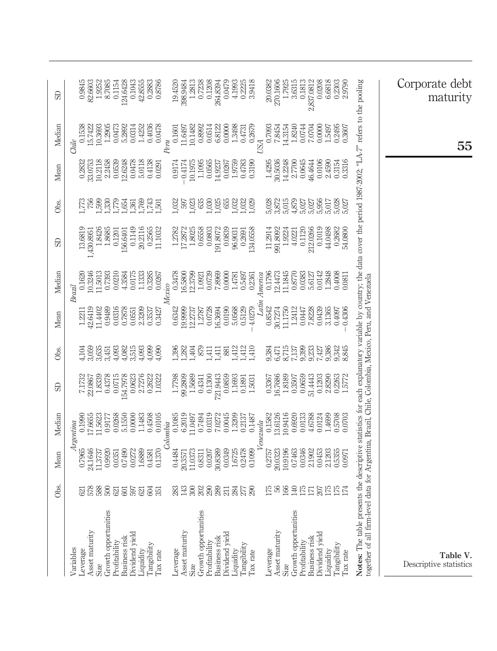| க      | 1.9252<br>0.1043<br>0.2883<br>0.1208<br>270.1606<br>0.1813<br>2,837.0812<br>6.6818<br>0.9845<br>82.6603<br>8.7085<br>124.6428<br>42.8555<br>0.8786<br>1.2813<br>0.7238<br>0.0479<br>3.6315<br>0.0208<br>0.2303<br>2.9790<br>0.1154<br>19.4520<br>398.9484<br>264.8394<br>4.1993<br>3.9418<br>20.0382<br>1.7925<br>0.2225                                                                                                                                                                                                                                                                                                                                                                                                                                                        | Corporate debt<br>maturity         |
|--------|---------------------------------------------------------------------------------------------------------------------------------------------------------------------------------------------------------------------------------------------------------------------------------------------------------------------------------------------------------------------------------------------------------------------------------------------------------------------------------------------------------------------------------------------------------------------------------------------------------------------------------------------------------------------------------------------------------------------------------------------------------------------------------|------------------------------------|
| Median | 0.4036<br>0.0478<br>10.1482<br>0.8992<br>0.0514<br>6.8122<br>0.0000<br>1.3498<br>7.8454<br>15.7422<br>10.3693<br>1.4252<br>0.1601<br>0.2679<br>0.7093<br>14.3154<br>7.0704<br>0.1538<br>1.2905<br>5.2892<br>11.6497<br>0.4731<br>1.8240<br>0.0744<br>0.0000<br>0.0314<br>1.5497<br>0.2495<br>0.3607<br>0.0473<br>Peru<br>Chile<br><b>USA</b>                                                                                                                                                                                                                                                                                                                                                                                                                                    | 55                                 |
| Mean   | 0.3316<br>1.4295<br>30.5036<br>0.0539<br>12.6248<br>5.0118<br>0.4138<br>$-0.4174$<br>10.1975<br>14.2248<br>2.7700<br>0.0645<br>0.0106<br>2.4590<br>10.2118<br>2.2458<br>0.0478<br>0.9174<br>1.1095<br>0.0565<br>$\begin{array}{c} 0.0267 \\ 1.9759 \\ 0.4783 \\ 0.3190 \end{array}$<br>46.4644<br>0.3154<br>0.0291<br>0.2832<br>33.0753<br>14.9237                                                                                                                                                                                                                                                                                                                                                                                                                              |                                    |
| Obs.   | 5,015<br>4,879<br>1,599<br>1,330<br>1,779<br>1,769<br>1,030<br>5,028<br>3,872<br>5,956<br>5,028<br>756<br>1,654<br>1,361<br>1,743<br>1,501<br>1,032<br>1,023<br>635<br>1,025<br>$1,032$<br>$1,029$<br>5,027<br>5,027<br>5,017<br>1,773<br>55<br>1,032<br>5,027                                                                                                                                                                                                                                                                                                                                                                                                                                                                                                                  |                                    |
| සි     | 13,6819<br>20.2116<br>0.0839<br>0.1120<br>212.0266<br>0.1019<br>1.8426<br>1.8685<br>0.1149<br>0.6558<br>11.2914<br>44.0498<br>0.2682<br>54.0800<br>11.1032<br>1.2782<br>0.0803<br>134.0558<br>991.8092<br>0.1201<br>156.6401<br>0.2565<br>17.2872<br>191.8072<br>0.2691<br>1.9224<br>1.8025<br>96.9031<br>4.0221<br>1,430.895                                                                                                                                                                                                                                                                                                                                                                                                                                                   |                                    |
| Median | 10.3246<br>11.5013<br>12.3799<br>0.0739<br>7.8969<br>11.1845<br>0.0142<br>0.7393<br>1.1333<br>$0.3478$<br>16.5800<br>0.0000<br>12.4473<br>0.0383<br>1.2848<br>0.4008<br>0.0210<br>0.3285<br>0.1796<br>0.8770<br>0.1620<br>4.3584<br>0.0175<br>1.4781<br>0.5497<br>0.2361<br>America<br>5.6127<br>0.0267<br>1.0921<br>0.0811<br>Mexico<br>Brazil                                                                                                                                                                                                                                                                                                                                                                                                                                 |                                    |
| Mean   | Latin<br>5.0568<br>0.5129<br>4.0279<br>0.8542<br>30.7274<br>11.1750<br>0.9489<br>2.3209<br>19.9999<br>0.0190<br>1.2412<br>0.4306<br>42.6419<br>11.4402<br>0.0316<br>0.7878<br>0.0728<br>16.3694<br>0.0439<br>3.1365<br>0.6342<br>12.2737<br>1.2787<br>0.0447<br>7,8228<br>0.4097<br>0.0551<br>0.3537<br>0.3427<br>1.2211                                                                                                                                                                                                                                                                                                                                                                                                                                                        |                                    |
| Obs.   | 1,412<br>$6,471$<br>$8,715$<br>9,399<br>9,386<br>9,342<br>8,845<br>4,093<br>4,082<br>3,515<br>1,093<br>4,099<br>879<br>1,412<br>,410<br>9,233<br>3,059<br>3,635<br>4,090<br>$1,396$<br>$1,282$<br>$+94$<br>7,137<br>7,427<br>3,451<br>1,411<br>,411<br>9,384<br>#104<br>881                                                                                                                                                                                                                                                                                                                                                                                                                                                                                                     |                                    |
| SD     | 0.0659<br>51.4443<br>0.1203<br>2.8290<br>22.0867<br>1.8339<br>2.7276<br>0.2622<br>1.7798<br>99.2809<br>1.5689<br>0.1300<br>$\begin{array}{c} 721.9443 \\ 0.0859 \\ 1.1693 \end{array}$<br>0.3367<br>16.7686<br>1.8189<br>0.2263<br>1.5772<br>0.4378<br>0.0715<br>154.7978<br>0.3507<br>0.0623<br>1.0322<br>0.1891<br>7.1732<br>0.4341<br>1.5031                                                                                                                                                                                                                                                                                                                                                                                                                                 |                                    |
| Median | 6.2019<br>0.0319<br>13.6126<br>1.1483<br>0.4508<br>0.0105<br>0.1085<br>11.0497<br>0.7494<br>0.0045<br>1.3209<br>0.1582<br>10.9416<br>4.6788<br>1.4699<br>17.6655<br>11.5623<br>0.0268<br>0.0000<br>7.0272<br>0.2137<br>0.6920<br>0.0133<br>0.0124<br>0.5708<br>0.0703<br>0.1990<br>5.1550<br>0.1487<br>0.9177<br>Colombia<br>Venezuela<br>Argentina                                                                                                                                                                                                                                                                                                                                                                                                                             |                                    |
| Mean   | 0.1370<br>0.1099<br>24.1646<br>1.6889<br>0.0349<br>0.2478<br>20.0323<br>0.7965<br>0.9920<br>11.0373<br>1.6725<br>0.7490<br>0.4484<br>30,8389<br>10.9196<br>0.7463<br>0.0346<br>2.1902<br>2.1203<br>0.0272<br>0.4581<br>0.0207<br>0.2757<br>0.0453<br>0.5355<br>11.3737<br>20.3571<br>0.8311<br>0.0351<br>0.0971                                                                                                                                                                                                                                                                                                                                                                                                                                                                 |                                    |
| Obs.   | $300\,$<br>202<br>290<br>289<br>166<br>140<br>175<br>588<br>$\frac{6}{2}$<br>601<br>604<br>143<br>211<br>284<br>290<br><b>ES</b><br>175<br>175<br>$rac{21}{578}$<br>597<br>621<br>283<br>207<br>351<br>277<br>171<br>174                                                                                                                                                                                                                                                                                                                                                                                                                                                                                                                                                        |                                    |
|        | <b>Notes:</b> The table presents the descriptive statistics for each explanatory variable by country; the data cover the period 1987-2002; "LA-7" refers to the pooling<br>together of all firm-level data for Argentina, Brazil, Chile, Colombia, Mexico, Peru, and Venezuela<br>Growth opportunities<br>Growth opportunities<br>Growth opportunities<br>Asset maturity<br>Asset maturity<br>Asset maturity<br>Dividend yield<br>Dividend yield<br>Dividend yield<br>Business risk<br>Business risk<br>Business risk<br>Profitability<br>Profitability<br>Profitability<br>Tangibility<br>Tangibility<br><b>Tangibility</b><br>Leverage<br>Variables<br>Leverage<br>Liquidity<br>everage<br>Liquidity<br>Liquidity<br>Tax rate<br>Tax rate<br>Tax rate<br>Size<br>Size<br>Size | Table V.<br>Descriptive statistics |

55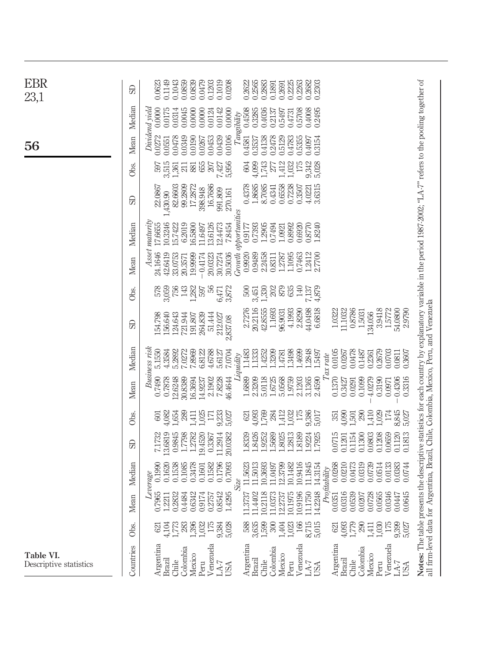| <b>EBR</b><br>23,1                  | <b>G</b>  | 0.0623                    | 0.1149<br>0.1043                                                            | 0.0859   | 0.0839  | 0.0479    | 0.1019<br>0.1203   | 0.0208                                         |                             | 0.2622    | 0.2565                                            | 0.2883                   | 0.1891   | 0.2691                                                                  | 0.2225  | 0.2263       | 0.2682<br>0.2303   |              |                       |                       |        |          |                    |        |                       |         |                    |                                                                                                                                                                                                                                                            |
|-------------------------------------|-----------|---------------------------|-----------------------------------------------------------------------------|----------|---------|-----------|--------------------|------------------------------------------------|-----------------------------|-----------|---------------------------------------------------|--------------------------|----------|-------------------------------------------------------------------------|---------|--------------|--------------------|--------------|-----------------------|-----------------------|--------|----------|--------------------|--------|-----------------------|---------|--------------------|------------------------------------------------------------------------------------------------------------------------------------------------------------------------------------------------------------------------------------------------------------|
|                                     | Median    | 0.0000<br>Dividend yiela  | 0.0175<br>0.0314                                                            | 0.0045   | 0.0000  | 0.0000    | 0.0142<br>0.0124   | 0.0000                                         | Tangibility                 | 0.4508    | 0.3285                                            | 0.4036                   | 0.2137   | 0.5497                                                                  | 0.4731  | 0.5708       | 0.4008<br>0.2495   |              |                       |                       |        |          |                    |        |                       |         |                    |                                                                                                                                                                                                                                                            |
| 56                                  | Mean      | 0.0272                    | 0.0478<br>0.0551                                                            | 0.0349   | 0.0190  | 0.0267    | 0.0453<br>0.0439   | 0.0106                                         |                             | 0.4581    | 0.3537                                            | 0.4138                   | 0.2478   | 0.5129                                                                  | 0.4783  | 0.5355       | 0.3154<br>0.4097   |              |                       |                       |        |          |                    |        |                       |         |                    |                                                                                                                                                                                                                                                            |
|                                     | Öbs.      | 597                       | 3,515<br>1,361                                                              | 211      | 881     | 655       | 207                | 5,956<br>7,427                                 |                             | 604       | 4,099                                             | 1,743                    | 277      | 1,412                                                                   | 1,032   | 175          | 9,342<br>5,028     |              |                       |                       |        |          |                    |        |                       |         |                    |                                                                                                                                                                                                                                                            |
|                                     | සි        | 22.0867                   | 82.6603<br>,430.90                                                          | 99.2809  | 17.2872 | 398.948   | 16.7686<br>991.809 | 270.161                                        |                             | 0.4378    | 1.8685                                            | 8.7085                   | 0.4341   | 0.6558                                                                  | 0.7238  | 0.3507       | 3.6315<br>4.0221   |              |                       |                       |        |          |                    |        |                       |         |                    |                                                                                                                                                                                                                                                            |
|                                     | Median    | Asset maturity<br>17.6655 | 10.3246<br>15.7422                                                          | 6.2019   | 16,5800 | 11.6497   | 12.4473<br>13.6126 | 7.8454                                         | <b>Growth opportunities</b> | 0.9177    | 0.7393                                            | 1.2905                   | 0.7494   | 1.0921                                                                  | 0.8992  | 0.6920       | 0.8770<br>1.8240   |              |                       |                       |        |          |                    |        |                       |         |                    |                                                                                                                                                                                                                                                            |
|                                     | Mean      | 24.1646                   | 42.6419<br>33.0753                                                          | 20.3571  | 19.9999 | $-0.4174$ | 20.0323<br>30.7274 | 30.5036                                        |                             | 0.9920    | 0.9489                                            | 2.2458                   | 0.8311   | 1.2787                                                                  | 1.1095  | 0.7463       | 1.2412<br>2.7700   |              |                       |                       |        |          |                    |        |                       |         |                    |                                                                                                                                                                                                                                                            |
|                                     | Öbs.      | 578                       | 756<br>3,059                                                                | 143      | 1,282   | 597       | 95                 | 6,471<br>3,872                                 |                             | 600       | 3,451                                             | 1,330                    | 202      | 879                                                                     | 635     | 140          | 4,879<br>7,137     |              |                       |                       |        |          |                    |        |                       |         |                    |                                                                                                                                                                                                                                                            |
|                                     | SD        | 154.798                   | 156.640<br>124.643                                                          | 721.944  | 191.807 | 264.839   | 51.444<br>212.027  | 2,837.08                                       |                             | 2.7276    | 20.2116                                           | 42.8555                  | 1.1693   | 96.9031                                                                 | 4.1993  | 2.8290       | 6.6818<br>14.0498  |              | 1.0322                | 11.1032               | 0.8786 | 1.5031   | 134.056            | 3.9418 | 1.5772                | 54.0800 | 2.9790             | Notes: The table presents the descriptive statistics for each country by explanatory variable in the period 1987-2002; "LA-7" refers to the pooling together of<br>all firm-level data for Argentina, Brazil, Chile, Colombia, Mexico, Peru, and Venezuela |
|                                     | Median    | Business risk<br>5.1550   | 5.2892<br>4.3584                                                            | 7.0272   | 7.8969  | 6.8122    | 4.6788<br>5.6127   | 7.0704                                         | Liquidity                   | 1.1483    | 1333                                              | 1.4252                   | .3209    | 1.4781                                                                  | .3498   | 1.4699       | 1.2848<br>1.5497   | Tax rate     | 0.0105                | 0.0267                | 0.0478 | 0.1487   | 0.2361             | 0.2679 | 0.0703                | 0.0811  | 0.3607             |                                                                                                                                                                                                                                                            |
|                                     | Mean      | 0.7490                    | 0.7878<br>12.6248                                                           | 30,8389  | 16.3694 | 14.9237   | 2.1902<br>7.8228   | 16.4644                                        |                             | 1.6889    | 2.3209                                            | 5.0118                   | 1.6725   | 5.0568                                                                  | 1.9759  | 2.1203       | 3.1365<br>2.4590   |              | 0.1370                | 0.3427                | 0.0291 | 0.1099   | 4.0279             | 0.3190 | 0.0971                | 0.4306  | 0.3316             |                                                                                                                                                                                                                                                            |
|                                     | Obs.      | 601                       | 4,082<br>$-654$                                                             | 289      | 411     | 1,025     | 9,233<br>171       | 5,027                                          |                             | 2         | 4,093                                             | 1,769                    | 284      | ,412                                                                    | 1,032   | 175          | 9,386<br>5,017     |              | 351                   | 4,090                 | 1,501  | 290      | 1,410              | ,029   | 174                   | 8,845   | 5,027              |                                                                                                                                                                                                                                                            |
|                                     | க         | 7.1732                    | 13.6819<br>0.9845                                                           | 1.7798   | 1.2782  | 19.4520   | 11.2914<br>0.3367  | 20.0382                                        |                             | 1.8339    | 1.8426                                            | 1.9252                   | 1.5689   | 1.8025                                                                  | 1.2813  | 1.8189       | 1.9224<br>1.7925   |              | 0.0715                | 0.1201                | 0.1154 | 0.1300   | 0.0803             | 0.1208 | 0.0659                | 0.1120  | 0.1813             |                                                                                                                                                                                                                                                            |
|                                     | Median    | 0.1990<br>Leverage        | 0.1620<br>0.1538                                                            | 0.1085   | 0.3478  | 0.1601    | 0.1582<br>0.1796   | 0.7093                                         | Size                        | 11.5623   | 11.5013                                           | 10.3693                  | 11.0497  | 12.3799                                                                 | 10.1482 | 10.9416      | 11.1845<br>14.3154 | rofitability | 0.0268                | 0.0210                | 0.0473 | 0.0319   | 0.0739             | 0.0514 | 0.0133                | 0.0383  | 0.0744             |                                                                                                                                                                                                                                                            |
|                                     | Mean      |                           | $\begin{array}{c} 0.7965 \\ 1.2211 \\ 0.2832 \\ 0.4484 \end{array}$         |          |         |           |                    | 0.6342<br>0.9174<br>0.2757<br>0.8542<br>0.4295 |                             |           | $\begin{array}{c} 11.3737 \\ 11.4402 \end{array}$ |                          |          | $\begin{array}{c} 10.2118 \\ 11.0373 \\ 12.2737 \\ 10.1975 \end{array}$ |         | 196<br>10.91 | 11.1750<br>14.2248 |              | 351<br>$\ddot{\rm o}$ | 316<br>$\ddot{\circ}$ | 0.0539 | 0.0207   | 0.0728<br>0.0565   |        | 0.0346                |         | $0.0447$<br>0.0645 |                                                                                                                                                                                                                                                            |
|                                     | Obs.      | 2                         | $\begin{array}{c} 4,104 \\ 1,773 \\ 1,396 \\ 1,932 \\ 1,022 \\ \end{array}$ |          |         |           |                    | 9,384<br>5,028                                 |                             |           |                                                   | 385<br>365<br>365<br>365 |          | 1,404                                                                   | 1,023   | 166          | 8,715<br>5,015     |              | 2                     | $4,093$<br>$1,779$    |        | 290      | $1,411$<br>$1,030$ |        | 175<br>9.398<br>5.027 |         |                    |                                                                                                                                                                                                                                                            |
| Table VI.<br>Descriptive statistics | Countries | Argentina                 | Brazil<br>Chile                                                             | Colombia | Mexico  | Peru      | Venezuela          | LA7<br>USA                                     |                             | Argentina | Brazil                                            | Chile                    | Colombia | Mexico                                                                  | Peru    | Venezuela    | LA-7<br><b>USA</b> |              | Argentina             | Brazil                | Chile  | Colombia | Mexico             | Peru   | Venezuela             | LA-7    | <b>USA</b>         |                                                                                                                                                                                                                                                            |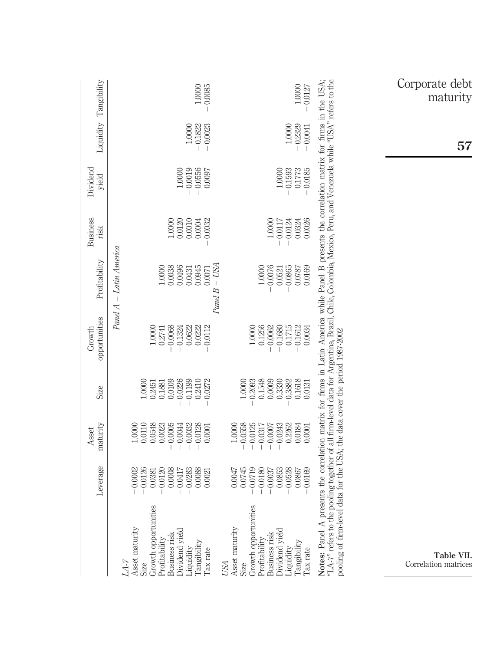| Corporate debt<br>maturity         |                                                                                                                                                                                                                                                                                                                                                                                            | 1.0000<br>$-0.0127$                                                                                                                               | $1.0000$<br>$-0.0085$<br>$\overline{1}$                                                                                                            | Tangibility             |
|------------------------------------|--------------------------------------------------------------------------------------------------------------------------------------------------------------------------------------------------------------------------------------------------------------------------------------------------------------------------------------------------------------------------------------------|---------------------------------------------------------------------------------------------------------------------------------------------------|----------------------------------------------------------------------------------------------------------------------------------------------------|-------------------------|
| 57                                 |                                                                                                                                                                                                                                                                                                                                                                                            | $1.0000$<br>$-0.2329$<br>$-0.0041$                                                                                                                | 0.1822<br>$-0.0023$<br>1.0000                                                                                                                      | Liquidity               |
|                                    |                                                                                                                                                                                                                                                                                                                                                                                            | 0.1593<br>0.1773<br>$1.0000$<br>$-0.0185$                                                                                                         | $-0.0019$<br>$-0.0556$<br>$1.0000$<br>0.0097                                                                                                       | Dividend<br>yield       |
|                                    |                                                                                                                                                                                                                                                                                                                                                                                            | 0.0324<br>0.0026<br>0.0117<br>0.0124<br>1.0000<br>$\begin{array}{c} \hline \end{array}$                                                           | 0.0010<br>$\frac{1.0000}{0.0120}$<br>0.0004<br>0.0032                                                                                              | <b>Business</b><br>risk |
|                                    |                                                                                                                                                                                                                                                                                                                                                                                            | 0.0076<br>0.0865<br>0.0169<br>1.0000<br>0.0787<br>0.0521<br>$\mathbf{I}$                                                                          | Panel A - Latin America<br>$PaneB - USA$<br>0.0038<br>0.0496<br>0.0945<br>1.0000<br>0.0431<br>0.0071                                               | Profitability           |
|                                    |                                                                                                                                                                                                                                                                                                                                                                                            | 0.1715<br>$-0.1612$<br>0.1256<br>$-0.0062$<br>$-0.1680$<br>0.0034<br>1.0000                                                                       | 0.0068<br>0.0622<br>0.0112<br>$1.0000\,$<br>0.2741<br>$-0.1324$<br>0.0222                                                                          | opportunities<br>Growth |
|                                    |                                                                                                                                                                                                                                                                                                                                                                                            | 0.1548<br>0.1618<br>0.0009<br>0.3330<br>0.3882<br>1.0000<br>0.2093<br>0.0131                                                                      | 0.0109<br>0.0226<br>$-0.1199$<br>0.2410<br>0.0272<br>1.0000<br>0.2451<br>0.1881                                                                    | Size                    |
|                                    |                                                                                                                                                                                                                                                                                                                                                                                            | 0.0558<br>$-0.0125$<br>$-0.0317$<br>$-0.0243$<br>0.2262<br>1.0000<br>$-0.0007$<br>0.0184<br>0.0001                                                | 0.0548<br>0.0110<br>0.0023<br>0.0005<br>$-0.0032$<br>0.0128<br>$-0.0044$<br>1.0000<br>0.0001                                                       | maturity<br>Asset       |
|                                    |                                                                                                                                                                                                                                                                                                                                                                                            | 0.0745<br>0.0719<br>$-0.0180$<br>0.0853<br>0.0528<br>0.0169<br>$-0.0037$<br>0.0867<br>0.0047                                                      | 0.0126<br>0.0120<br>0.0008<br>0.0417<br>0.0283<br>0.0088<br>$-0.0002$<br>0.0381<br>0.0021<br>$\overline{\phantom{a}}$                              | Leverage                |
| Table VII.<br>Correlation matrices | "LA-7" refers to the pooling together of all firm-level data for Argentina, Brazil, Chile, Colombia, Mexico, Peru, and Venezuela while "USA" refers to the<br>Notes: Panel A presents the correlation matrix for firms in Latin America while Panel B presents the correlation matrix for firms in the USA;<br>pooling of firm-level data for the USA; the data cover the period 1987-2002 | Growth opportunities<br>Asset maturity<br>Dividend yield<br>Business risk<br>Profitability<br>Tangibility<br>Liquidity<br>Tax rate<br>USA<br>Size | Growth opportunities<br>Asset maturity<br>Dividend yield<br>Business risk<br>Profitability<br>Tangibility<br>Liquidity<br>Tax rate<br>LA-7<br>Size |                         |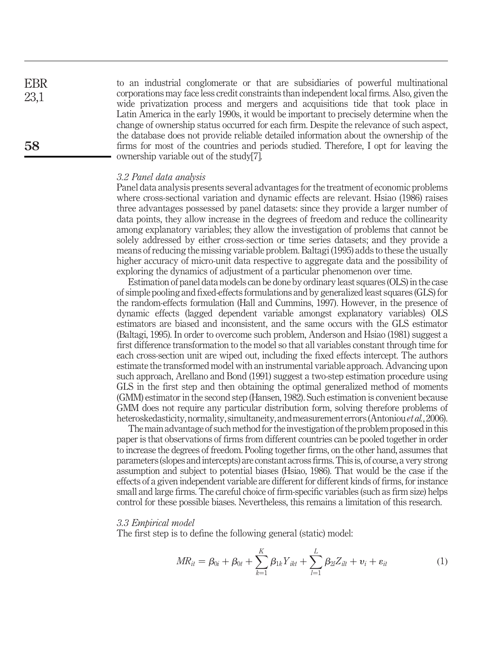to an industrial conglomerate or that are subsidiaries of powerful multinational corporations may face less credit constraints than independent local firms. Also, given the wide privatization process and mergers and acquisitions tide that took place in Latin America in the early 1990s, it would be important to precisely determine when the change of ownership status occurred for each firm. Despite the relevance of such aspect, the database does not provide reliable detailed information about the ownership of the firms for most of the countries and periods studied. Therefore, I opt for leaving the ownership variable out of the study[7]. EBR 23,1 58

#### 3.2 Panel data analysis

Panel data analysis presents several advantages for the treatment of economic problems where cross-sectional variation and dynamic effects are relevant. Hsiao (1986) raises three advantages possessed by panel datasets: since they provide a larger number of data points, they allow increase in the degrees of freedom and reduce the collinearity among explanatory variables; they allow the investigation of problems that cannot be solely addressed by either cross-section or time series datasets; and they provide a means of reducing the missing variable problem. Baltagi (1995) adds to these the usually higher accuracy of micro-unit data respective to aggregate data and the possibility of exploring the dynamics of adjustment of a particular phenomenon over time.

Estimation of panel data models can be done by ordinary least squares (OLS) in the case of simple pooling and fixed-effects formulations and by generalized least squares (GLS) for the random-effects formulation (Hall and Cummins, 1997). However, in the presence of dynamic effects (lagged dependent variable amongst explanatory variables) OLS estimators are biased and inconsistent, and the same occurs with the GLS estimator (Baltagi, 1995). In order to overcome such problem, Anderson and Hsiao (1981) suggest a first difference transformation to the model so that all variables constant through time for each cross-section unit are wiped out, including the fixed effects intercept. The authors estimate the transformed model with an instrumental variable approach. Advancing upon such approach, Arellano and Bond (1991) suggest a two-step estimation procedure using GLS in the first step and then obtaining the optimal generalized method of moments (GMM) estimator in the second step (Hansen, 1982). Such estimation is convenient because GMM does not require any particular distribution form, solving therefore problems of heteroskedasticity, normality, simultaneity, and measurement errors (Antoniou *et al.*, 2006).

The main advantage of such method for the investigation of the problem proposed in this paper is that observations of firms from different countries can be pooled together in order to increase the degrees of freedom. Pooling together firms, on the other hand, assumes that parameters (slopes and intercepts) are constant across firms. This is, of course, a very strong assumption and subject to potential biases (Hsiao, 1986). That would be the case if the effects of a given independent variable are different for different kinds of firms, for instance small and large firms. The careful choice of firm-specific variables (such as firm size) helps control for these possible biases. Nevertheless, this remains a limitation of this research.

#### 3.3 Empirical model

The first step is to define the following general (static) model:

$$
MR_{it} = \beta_{0i} + \beta_{0t} + \sum_{k=1}^{K} \beta_{1k} Y_{ikt} + \sum_{l=1}^{L} \beta_{2l} Z_{ilt} + v_i + \varepsilon_{it}
$$
(1)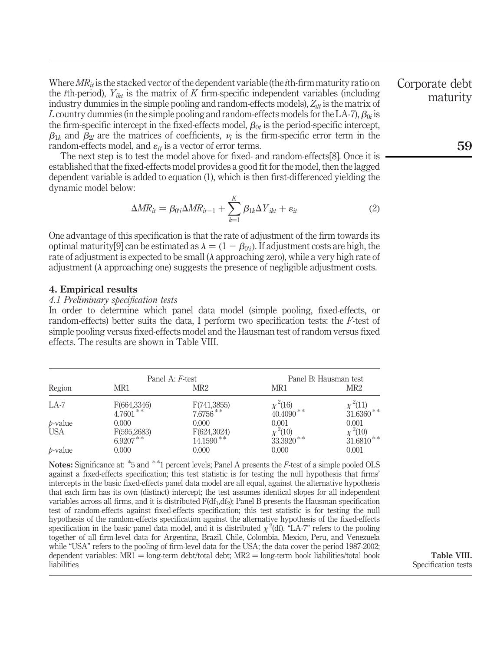Where  $MR_{it}$  is the stacked vector of the dependent variable (the *i*th-firm maturity ratio on the tth-period),  $Y_{ikt}$  is the matrix of K firm-specific independent variables (including industry dummies in the simple pooling and random-effects models),  $Z_{it}$  is the matrix of L country dummies (in the simple pooling and random-effects models for the LA-7),  $\beta_{0i}$  is the firm-specific intercept in the fixed-effects model,  $\beta_{0t}$  is the period-specific intercept,  $\beta_{1k}$  and  $\beta_{2l}$  are the matrices of coefficients,  $\nu_i$  is the firm-specific error term in the random-effects model, and  $\varepsilon_{it}$  is a vector of error terms.

The next step is to test the model above for fixed- and random-effects[8]. Once it is established that the fixed-effects model provides a good fit for the model, then the lagged dependent variable is added to equation (1), which is then first-differenced yielding the dynamic model below:

$$
\Delta MR_{it} = \beta_{0'i} \Delta MR_{it-1} + \sum_{k=1}^{K} \beta_{1k} \Delta Y_{ikt} + \varepsilon_{it}
$$
 (2)

One advantage of this specification is that the rate of adjustment of the firm towards its optimal maturity[9] can be estimated as  $\lambda = (1 - \beta_{0i}).$  If adjustment costs are high, the rate of adjustment is expected to be small  $(\lambda$  approaching zero), while a very high rate of adjustment  $(\lambda$  approaching one) suggests the presence of negligible adjustment costs.

#### 4. Empirical results

#### 4.1 Preliminary specification tests

In order to determine which panel data model (simple pooling, fixed-effects, or random-effects) better suits the data, I perform two specification tests: the  $F$ -test of simple pooling versus fixed-effects model and the Hausman test of random versus fixed effects. The results are shown in Table VIII.

|                 |                            | Panel A: F-test                         |                             | Panel B: Hausman test                 |
|-----------------|----------------------------|-----------------------------------------|-----------------------------|---------------------------------------|
| Region          | MR1                        | MR <sub>2</sub>                         | MR1                         | MR <sub>2</sub>                       |
| LA-7            | F(664, 3346)<br>$4.7601**$ | F(741, 3855)<br>$7.6756**$              | $\chi^2(16)$<br>$40.4090**$ | $\chi^2(11)$<br>$31.6360**$           |
| $b-value$       | 0.000                      | 0.000                                   | 0.001                       | 0.001                                 |
| <b>USA</b>      | $F(595,2683)$<br>6.9207**  | ${\rm F}(624,\!3024)\,$ 14.1590 $^{**}$ | $\chi^2(10)$<br>33.3920**   | $\chi^2(10)$<br>31.6810 <sup>**</sup> |
| <i>b</i> -value | 0.000                      | 0.000                                   | 0.000                       | 0.001                                 |

Notes: Significance at:  $*5$  and  $*1$  percent levels; Panel A presents the F-test of a simple pooled OLS against a fixed-effects specification; this test statistic is for testing the null hypothesis that firms' intercepts in the basic fixed-effects panel data model are all equal, against the alternative hypothesis that each firm has its own (distinct) intercept; the test assumes identical slopes for all independent variables across all firms, and it is distributed  $F(df_1,df_2)$ ; Panel B presents the Hausman specification test of random-effects against fixed-effects specification; this test statistic is for testing the null hypothesis of the random-effects specification against the alternative hypothesis of the fixed-effects specification in the basic panel data model, and it is distributed  $\chi^2$ (df). "LA-7" refers to the pooling together of all firm-level data for Argentina, Brazil, Chile, Colombia, Mexico, Peru, and Venezuela while "USA" refers to the pooling of firm-level data for the USA; the data cover the period 1987-2002; dependent variables:  $MR1 = \log$ -term debt/total debt;  $MR2 = \log$ -term book liabilities/total book liabilities

Table VIII. Specification tests

# Corporate debt maturity

59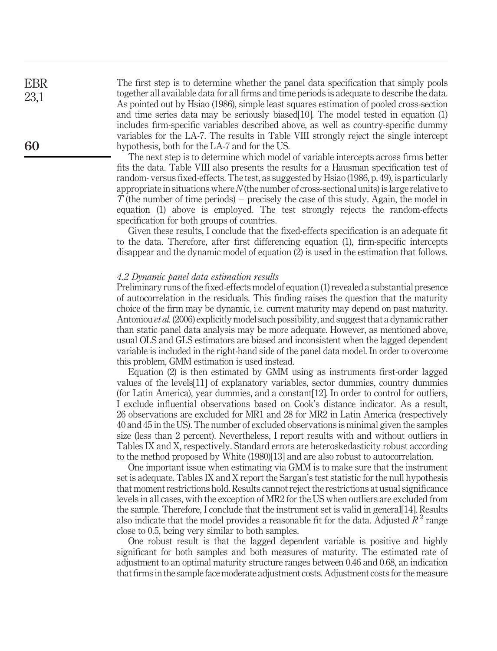The first step is to determine whether the panel data specification that simply pools together all available data for all firms and time periods is adequate to describe the data. As pointed out by Hsiao (1986), simple least squares estimation of pooled cross-section and time series data may be seriously biased[10]. The model tested in equation (1) includes firm-specific variables described above, as well as country-specific dummy variables for the LA-7. The results in Table VIII strongly reject the single intercept hypothesis, both for the LA-7 and for the US.

The next step is to determine which model of variable intercepts across firms better fits the data. Table VIII also presents the results for a Hausman specification test of random- versus fixed-effects. The test, as suggested by Hsiao (1986, p. 49), is particularly appropriate in situations where  $N$  (the number of cross-sectional units) is large relative to  $T$  (the number of time periods) – precisely the case of this study. Again, the model in equation (1) above is employed. The test strongly rejects the random-effects specification for both groups of countries.

Given these results, I conclude that the fixed-effects specification is an adequate fit to the data. Therefore, after first differencing equation (1), firm-specific intercepts disappear and the dynamic model of equation (2) is used in the estimation that follows.

#### 4.2 Dynamic panel data estimation results

Preliminary runs of the fixed-effects model of equation (1) revealed a substantial presence of autocorrelation in the residuals. This finding raises the question that the maturity choice of the firm may be dynamic, i.e. current maturity may depend on past maturity. Antoniou et al. (2006) explicitly model such possibility, and suggest that a dynamic rather than static panel data analysis may be more adequate. However, as mentioned above, usual OLS and GLS estimators are biased and inconsistent when the lagged dependent variable is included in the right-hand side of the panel data model. In order to overcome this problem, GMM estimation is used instead.

Equation (2) is then estimated by GMM using as instruments first-order lagged values of the levels[11] of explanatory variables, sector dummies, country dummies (for Latin America), year dummies, and a constant[12]. In order to control for outliers, I exclude influential observations based on Cook's distance indicator. As a result, 26 observations are excluded for MR1 and 28 for MR2 in Latin America (respectively 40 and 45 in the US). The number of excluded observations is minimal given the samples size (less than 2 percent). Nevertheless, I report results with and without outliers in Tables IX and X, respectively. Standard errors are heteroskedasticity robust according to the method proposed by White (1980)[13] and are also robust to autocorrelation.

One important issue when estimating via GMM is to make sure that the instrument set is adequate. Tables IX and X report the Sargan's test statistic for the null hypothesis that moment restrictions hold. Results cannot reject the restrictions at usual significance levels in all cases, with the exception of MR2 for the US when outliers are excluded from the sample. Therefore, I conclude that the instrument set is valid in general[14]. Results also indicate that the model provides a reasonable fit for the data. Adjusted  $R^2$  range close to 0.5, being very similar to both samples.

One robust result is that the lagged dependent variable is positive and highly significant for both samples and both measures of maturity. The estimated rate of adjustment to an optimal maturity structure ranges between 0.46 and 0.68, an indication that firms in the sample face moderate adjustment costs. Adjustment costs for the measure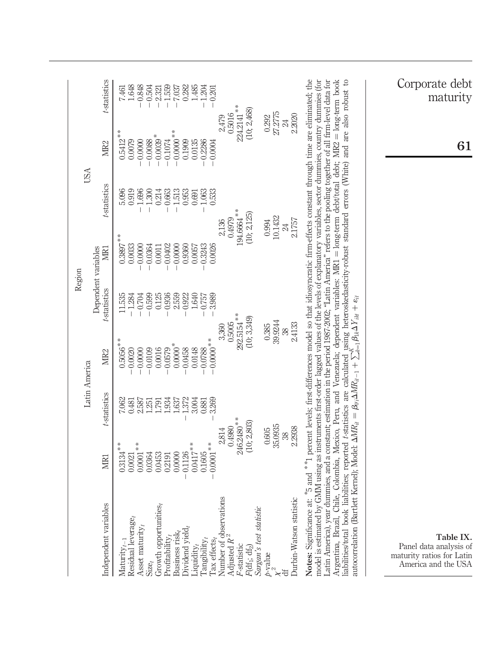|               | t-statistics                        | 1.648<br>$-0.848$<br>$-1.559$<br>0.282<br>1.485<br>$-1.204$<br>$-0.504$<br>2.321<br>$-7.037$<br>0.201<br>7.461<br>$\overline{\phantom{a}}$                                                                                                                                                                                                                                      | Corporate debt<br>maturity                                                                                                                                                                                                                                                                                                                                                                                                                                                                                                                                                                                                                                                                                                                                                                                                                                                                                                                                                                                        |
|---------------|-------------------------------------|---------------------------------------------------------------------------------------------------------------------------------------------------------------------------------------------------------------------------------------------------------------------------------------------------------------------------------------------------------------------------------|-------------------------------------------------------------------------------------------------------------------------------------------------------------------------------------------------------------------------------------------------------------------------------------------------------------------------------------------------------------------------------------------------------------------------------------------------------------------------------------------------------------------------------------------------------------------------------------------------------------------------------------------------------------------------------------------------------------------------------------------------------------------------------------------------------------------------------------------------------------------------------------------------------------------------------------------------------------------------------------------------------------------|
|               | MR <sub>2</sub>                     | $224.2141**$<br>(10; 2,468)<br>27.2775<br>0.5016<br>0.292<br>2,479<br>24<br>$0.5412***$<br>$-0.0000$ <sup>**</sup><br>$-0.0039$ *<br>$-0.1074$<br>0.1909<br>0.0135<br>0.2286<br>0.0079<br>0.0000<br>$-0.0088$<br>$-0.0004$                                                                                                                                                      | 2.2020<br>61                                                                                                                                                                                                                                                                                                                                                                                                                                                                                                                                                                                                                                                                                                                                                                                                                                                                                                                                                                                                      |
| USA           | t-statistics                        | 0.919<br>1.696<br>0.214<br>$-1.513$<br>0.533<br>5.096<br>$-1.300$<br>$-0.663$<br>0.953<br>$-1.063$<br>0.691<br>$\overline{1}$                                                                                                                                                                                                                                                   |                                                                                                                                                                                                                                                                                                                                                                                                                                                                                                                                                                                                                                                                                                                                                                                                                                                                                                                                                                                                                   |
|               | MR <sub>1</sub>                     | 194.6664 **<br>(10; 2,125)<br>10.1432<br>0.4979<br>0.994<br>2,136<br>$\overline{\mathbb{Z}}$<br>$0.3897***$<br>0.0000<br>$-0.0364$<br>$-0.0402$<br>$-0.0000$<br>0.9360<br>0.3243<br>0.0033<br>0.0011<br>0.0057<br>0.0026<br>$\mathbb I$                                                                                                                                         | 2.1757                                                                                                                                                                                                                                                                                                                                                                                                                                                                                                                                                                                                                                                                                                                                                                                                                                                                                                                                                                                                            |
| Region        | Dependent variables<br>t-statistics | $-0.936$<br>1.640<br>$-0.599$<br>0.125<br>2.559<br>0.922<br>$-0.757$<br>3.989<br>11.535<br>$-0.704$<br>$-1.284$<br>$\overline{\phantom{a}}$                                                                                                                                                                                                                                     |                                                                                                                                                                                                                                                                                                                                                                                                                                                                                                                                                                                                                                                                                                                                                                                                                                                                                                                                                                                                                   |
|               | MR <sub>2</sub>                     | 292.5154 **<br>(10; 3,349)<br>39.9244<br>0.5005<br>0.385<br>3,360<br>38<br>$-0.0000$ <sup>**</sup><br>$0.5056***$<br>$0.0000$ $^{\ast}$<br>0.0016<br>$-0.0000$<br>$-0.0109$<br>$-0.0579$<br>0.0458<br>0.0148<br>$-0.0788$<br>$-0.0020$<br>$\begin{array}{c} \end{array}$                                                                                                        | 2.4133                                                                                                                                                                                                                                                                                                                                                                                                                                                                                                                                                                                                                                                                                                                                                                                                                                                                                                                                                                                                            |
| Latin America | t-statistics                        | 1.372<br>3.004<br>3.269<br>2.587<br>1.934<br>1.637<br>7.062<br>1.251<br>1.791<br>0.881<br>0.481<br>$\overline{\phantom{a}}$                                                                                                                                                                                                                                                     |                                                                                                                                                                                                                                                                                                                                                                                                                                                                                                                                                                                                                                                                                                                                                                                                                                                                                                                                                                                                                   |
|               | <b>NB2</b>                          | $246.2480**$<br>(10; 2,803)<br>35.0935<br>0.4980<br>0.605<br>2,814<br>38<br>$0.0001$ $\rm ^{**}$<br>$0.3134***$<br>$0.0001$ $\!**$<br>$0.0417***$<br>0.0453<br>0.0000<br>0.1605<br>0.0364<br>0.1126<br>0.2191<br>0.0021                                                                                                                                                         | 2.2938                                                                                                                                                                                                                                                                                                                                                                                                                                                                                                                                                                                                                                                                                                                                                                                                                                                                                                                                                                                                            |
|               | Independent variables               | $\Omega$<br>Number of observation<br>Growth opportunities,<br>Sargan's test statistic<br>Residual leverage <sub>t</sub><br>Asset maturity,<br>Dividend yield<br>Business risk<br>Adjusted $R^2$<br>$Probability_{t}$<br>Tangibility $_t$<br>Tax effects<br>$Maturity_{t-1}$<br>F-statistic<br>Liquidity,<br>$F(df_1; df_2)$<br>$p$ -value<br>$\chi^2$<br>$\mathrm{Size}_t$<br>đ | Notes: Significance at: "5 and "*1 percent levels; first-differences model so that idiosyncratic firm-effects constant through time are eliminated; the<br>Latin America), year dummies, and a constant; estimation in the period 1987-2002; "Latin America" refers to the pooling together of all firm-level data for<br>Argentina, Brazil, Chile, Colombia, Mexico, Peru, and Venezuela; dependent variables: MR1 = long-term debt/total debt; MR2 = long-term book<br>liabilities/total book liabilities; reported t-statistics are calculated using heteroskedasticity-robust standard errors (White) and are also robust to autocorrelation (Bartlett Kernel); Model: $\Delta M R_{it} = \beta_{0i} \Delta M R_{it-1} + \sum$<br>model is estimated by GMM using as instruments first-order lagged values of the levels of explanatory variables, sector dummies, country dummies (for<br>Durbin-Watson statistic<br>Table IX.<br>Panel data analysis of<br>maturity ratios for Latin<br>America and the USA |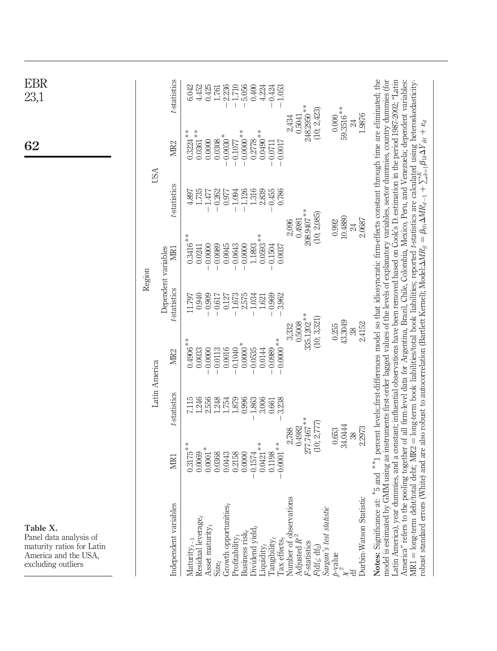| <b>EBR</b><br>23,1                                                                                            |               | t-statistics                        | $-1.710$<br>4.452<br>0.425<br>2.236<br>$-5.056$<br>0.400<br>$-1.053$<br>6.042<br>1.761<br>4.224<br>$-0.424$<br>$\ $                                                                                                                                                                                                                                                                                                                                                                                                                                                                                                                                                                                                                                                                                                                                                                                                                                                                                                                                                                                                       |
|---------------------------------------------------------------------------------------------------------------|---------------|-------------------------------------|---------------------------------------------------------------------------------------------------------------------------------------------------------------------------------------------------------------------------------------------------------------------------------------------------------------------------------------------------------------------------------------------------------------------------------------------------------------------------------------------------------------------------------------------------------------------------------------------------------------------------------------------------------------------------------------------------------------------------------------------------------------------------------------------------------------------------------------------------------------------------------------------------------------------------------------------------------------------------------------------------------------------------------------------------------------------------------------------------------------------------|
| 62                                                                                                            |               | MR <sub>2</sub>                     | 248.2950 **<br>$59.3516***$<br>(10; 2,423)<br>1.9876<br>0.000<br>0.5041<br>2,434<br>24<br>$0.3224***$<br>$0.0490**$<br>$0.0361\, {}^{**}$<br>$-0.0000$ <sup>**</sup><br>$-0.0030$ <sup>*</sup><br>0.2778<br>0.0000<br>0.0308<br>$-0.1077$<br>$-0.0017$<br>$-0.0711$                                                                                                                                                                                                                                                                                                                                                                                                                                                                                                                                                                                                                                                                                                                                                                                                                                                       |
|                                                                                                               | <b>USA</b>    | t-statistics                        | $-0.262$<br>$-1.126$<br>1.316<br>2.839<br>0.455<br>1.735<br>$-1.094$<br>0.786<br>$-1.477$<br>4.897<br>0.977                                                                                                                                                                                                                                                                                                                                                                                                                                                                                                                                                                                                                                                                                                                                                                                                                                                                                                                                                                                                               |
|                                                                                                               |               | MR <sub>1</sub>                     | GMM using as instruments first-order lagged values of the levels of explanatory variables, sector dummies, country dummies (for<br>208.9407 **<br>(10; 2,085)<br>10.4880<br>2.0687<br>0.4981<br>0.992<br>2,096<br>$\mathbb{Z}$<br>$0.3416***$<br>$0.0593***$<br>$-0.0000$<br>1.1893<br>$-0.0000$<br>$-0.0089$<br>0.0045<br>$-0.0643$<br>0.1504<br>0.0241<br>0.0037                                                                                                                                                                                                                                                                                                                                                                                                                                                                                                                                                                                                                                                                                                                                                        |
|                                                                                                               | Region        | Dependent variables<br>t-statistics | 0.940<br>$-0.909$<br>$-1.673$<br>2.575<br>$-0.969$<br>$-1.034$<br>3.962<br>$-0.617$<br>1.621<br>11.797<br>$0.127\,$                                                                                                                                                                                                                                                                                                                                                                                                                                                                                                                                                                                                                                                                                                                                                                                                                                                                                                                                                                                                       |
|                                                                                                               |               | MR <sub>2</sub>                     | $335.1202**$<br>(10; 3,321)<br>43.3049<br>0.5008<br>2.4152<br>0.255<br>3,332<br>38<br>$-0.0000$ **<br>$0.4906***$<br>$0.0000$ $^{\ast}$<br>0.0016<br>0.1040<br>0.0535<br>0.0000<br>$-0.0113$<br>0.0033<br>0.0144<br>0.0989                                                                                                                                                                                                                                                                                                                                                                                                                                                                                                                                                                                                                                                                                                                                                                                                                                                                                                |
|                                                                                                               | Latin America | t-statistics                        | 7.115<br>1.246<br>2.556<br>1.248<br>1.879<br>1.754<br>0.996<br>1.863<br>3.006<br>3.238<br>0.661<br>$\begin{array}{c} \end{array}$                                                                                                                                                                                                                                                                                                                                                                                                                                                                                                                                                                                                                                                                                                                                                                                                                                                                                                                                                                                         |
|                                                                                                               |               | MR <sub>1</sub>                     | 277.7467**<br>(10; 2, 777)<br>34.0444<br>0.4982<br>2.2973<br>2,788<br>0.653<br>38<br>$0.0001$ **<br>$0.0421***$<br>$0.3175***$<br>$0.0001$ *<br>0.1198<br>0.0069<br>0.2158<br>0.0000<br>0.0368<br>0.0443<br>0.1574<br>$\overline{1}$                                                                                                                                                                                                                                                                                                                                                                                                                                                                                                                                                                                                                                                                                                                                                                                                                                                                                      |
| Table X.<br>Panel data analysis of<br>maturity ratios for Latin<br>America and the USA,<br>excluding outliers |               | Independent variables               | Notes: Significance at: *5 and **1 percent levels; first-differences model so that idiosyncratic firm-effects constant through time are eliminated; the<br>MR1 = long-term debt/total debt; MR2 = long-term book liabilities/total book liabilities; reported <i>t</i> -statistics are calculated using heteroskedasticity-<br>robust standard errors (White) and are also robust to autocorrelat<br>Latin America), year dummies, and a constant; influential observations have been removed based on Cook's D. estimation in the period 1987-2002; "Latin<br>America" refers to the pooling together of all firm-level data for Argentina, Brazil, Chile, Colombia, Mexico, Peru, and Venezuela; dependent variables:<br>Sut<br>Durbin-Watson Statistic<br>Growth opportunities,<br>model is estimated by<br>Number of observation<br>Sargan's test statistic<br>Residual leverage<br>Asset maturity,<br>Dividend yield<br>Business risk<br>Adjusted $R^2$<br>Profitability<br>Tax effects,<br>$Maturity_{t-1}$<br>Tangibility<br>F-statistics<br>$F(df_1; df_2)$<br>Liquidity,<br>$p$ -value<br>$\mathrm{Size}_t$<br>đ |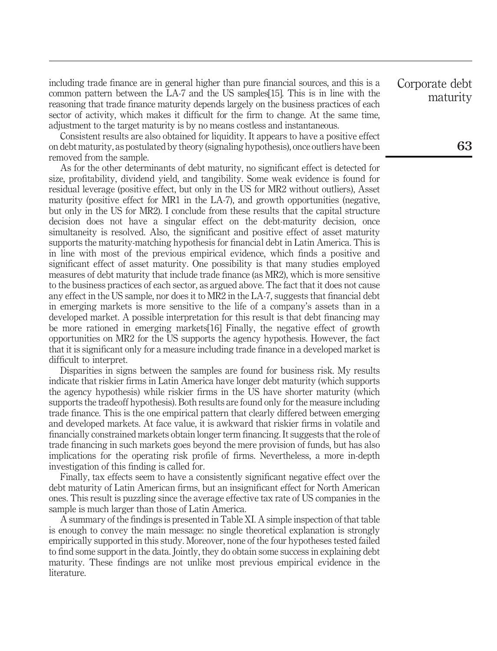including trade finance are in general higher than pure financial sources, and this is a common pattern between the LA-7 and the US samples[15]. This is in line with the reasoning that trade finance maturity depends largely on the business practices of each sector of activity, which makes it difficult for the firm to change. At the same time, adjustment to the target maturity is by no means costless and instantaneous.

Consistent results are also obtained for liquidity. It appears to have a positive effect on debt maturity, as postulated by theory (signaling hypothesis), once outliers have been removed from the sample.

As for the other determinants of debt maturity, no significant effect is detected for size, profitability, dividend yield, and tangibility. Some weak evidence is found for residual leverage (positive effect, but only in the US for MR2 without outliers), Asset maturity (positive effect for MR1 in the LA-7), and growth opportunities (negative, but only in the US for MR2). I conclude from these results that the capital structure decision does not have a singular effect on the debt-maturity decision, once simultaneity is resolved. Also, the significant and positive effect of asset maturity supports the maturity-matching hypothesis for financial debt in Latin America. This is in line with most of the previous empirical evidence, which finds a positive and significant effect of asset maturity. One possibility is that many studies employed measures of debt maturity that include trade finance (as MR2), which is more sensitive to the business practices of each sector, as argued above. The fact that it does not cause any effect in the US sample, nor does it to MR2 in the LA-7, suggests that financial debt in emerging markets is more sensitive to the life of a company's assets than in a developed market. A possible interpretation for this result is that debt financing may be more rationed in emerging markets[16] Finally, the negative effect of growth opportunities on MR2 for the US supports the agency hypothesis. However, the fact that it is significant only for a measure including trade finance in a developed market is difficult to interpret.

Disparities in signs between the samples are found for business risk. My results indicate that riskier firms in Latin America have longer debt maturity (which supports the agency hypothesis) while riskier firms in the US have shorter maturity (which supports the tradeoff hypothesis). Both results are found only for the measure including trade finance. This is the one empirical pattern that clearly differed between emerging and developed markets. At face value, it is awkward that riskier firms in volatile and financially constrained markets obtain longer term financing. It suggests that the role of trade financing in such markets goes beyond the mere provision of funds, but has also implications for the operating risk profile of firms. Nevertheless, a more in-depth investigation of this finding is called for.

Finally, tax effects seem to have a consistently significant negative effect over the debt maturity of Latin American firms, but an insignificant effect for North American ones. This result is puzzling since the average effective tax rate of US companies in the sample is much larger than those of Latin America.

A summary of the findings is presented in Table XI. A simple inspection of that table is enough to convey the main message: no single theoretical explanation is strongly empirically supported in this study. Moreover, none of the four hypotheses tested failed to find some support in the data. Jointly, they do obtain some success in explaining debt maturity. These findings are not unlike most previous empirical evidence in the literature.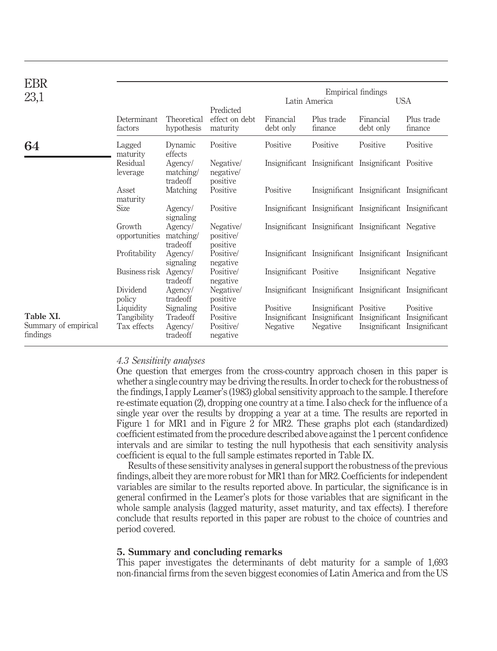| <b>EBR</b><br>23,1                            |                                         |                                              |                                               |                                       | Latin America                      | Empirical findings                                      | <b>USA</b>                              |
|-----------------------------------------------|-----------------------------------------|----------------------------------------------|-----------------------------------------------|---------------------------------------|------------------------------------|---------------------------------------------------------|-----------------------------------------|
|                                               | Determinant<br>factors                  | Theoretical<br>hypothesis                    | Predicted<br>effect on debt<br>maturity       | Financial<br>debt only                | Plus trade<br>finance              | Financial<br>debt only                                  | Plus trade<br>finance                   |
| 64                                            | Lagged<br>maturity                      | Dynamic<br>effects                           | Positive                                      | Positive                              | Positive                           | Positive                                                | Positive                                |
|                                               | Residual<br>leverage                    | Agency/<br>matching/<br>tradeoff             | Negative/<br>negative/<br>positive            |                                       |                                    | Insignificant Insignificant Insignificant Positive      |                                         |
|                                               | Asset<br>maturity                       | Matching                                     | Positive                                      | Positive                              |                                    | Insignificant Insignificant Insignificant               |                                         |
|                                               | <b>Size</b>                             | Agency/<br>signaling                         | Positive                                      |                                       |                                    | Insignificant Insignificant Insignificant Insignificant |                                         |
|                                               | Growth<br>opportunities matching/       | Agency/<br>tradeoff                          | Negative/<br>positive/<br>positive            |                                       |                                    | Insignificant Insignificant Insignificant Negative      |                                         |
|                                               | Profitability                           | Agency/<br>signaling                         | Positive/<br>negative                         |                                       |                                    | Insignificant Insignificant Insignificant Insignificant |                                         |
|                                               | Business risk Agency/                   | tradeoff                                     | Positive/<br>negative                         | Insignificant Positive                |                                    | Insignificant Negative                                  |                                         |
|                                               | Dividend<br>policy                      | Agency/<br>tradeoff                          | Negative/<br>positive                         |                                       |                                    | Insignificant Insignificant Insignificant Insignificant |                                         |
| Table XI.<br>Summary of empirical<br>findings | Liquidity<br>Tangibility<br>Tax effects | Signaling<br>Tradeoff<br>Agency/<br>tradeoff | Positive<br>Positive<br>Positive/<br>negative | Positive<br>Insignificant<br>Negative | Insignificant Positive<br>Negative | Insignificant Insignificant Insignificant               | Positive<br>Insignificant Insignificant |

#### 4.3 Sensitivity analyses

One question that emerges from the cross-country approach chosen in this paper is whether a single country may be driving the results. In order to check for the robustness of the findings, I apply Leamer's (1983) global sensitivity approach to the sample. I therefore re-estimate equation (2), dropping one country at a time. I also check for the influence of a single year over the results by dropping a year at a time. The results are reported in Figure 1 for MR1 and in Figure 2 for MR2. These graphs plot each (standardized) coefficient estimated from the procedure described above against the 1 percent confidence intervals and are similar to testing the null hypothesis that each sensitivity analysis coefficient is equal to the full sample estimates reported in Table IX.

Results of these sensitivity analyses in general support the robustness of the previous findings, albeit they are more robust for MR1 than for MR2. Coefficients for independent variables are similar to the results reported above. In particular, the significance is in general confirmed in the Leamer's plots for those variables that are significant in the whole sample analysis (lagged maturity, asset maturity, and tax effects). I therefore conclude that results reported in this paper are robust to the choice of countries and period covered.

#### 5. Summary and concluding remarks

This paper investigates the determinants of debt maturity for a sample of 1,693 non-financial firms from the seven biggest economies of Latin America and from the US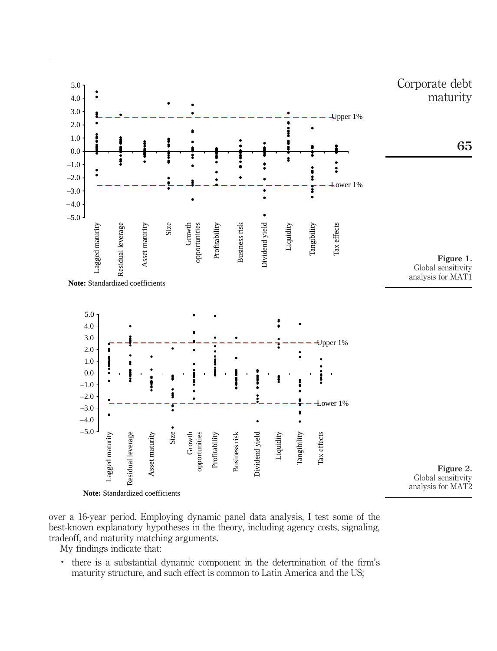

over a 16-year period. Employing dynamic panel data analysis, I test some of the best-known explanatory hypotheses in the theory, including agency costs, signaling, tradeoff, and maturity matching arguments.

My findings indicate that:

. there is a substantial dynamic component in the determination of the firm's maturity structure, and such effect is common to Latin America and the US;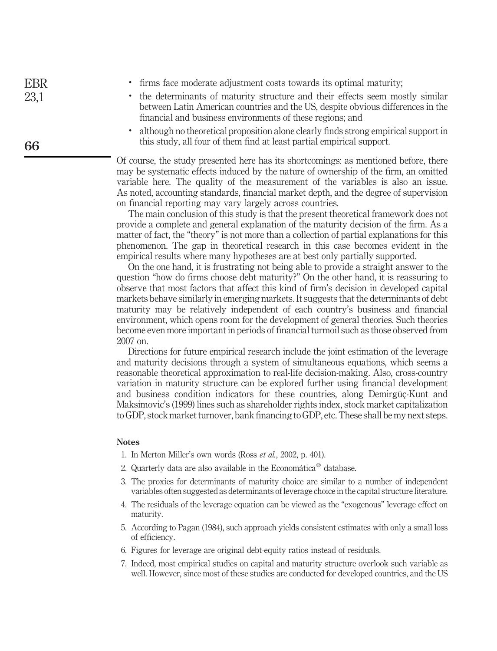| <b>EBR</b><br>23,1 | • firms face moderate adjustment costs towards its optimal maturity;<br>• the determinants of maturity structure and their effects seem mostly similar<br>between Latin American countries and the US, despite obvious differences in the<br>financial and business environments of these regions; and |
|--------------------|--------------------------------------------------------------------------------------------------------------------------------------------------------------------------------------------------------------------------------------------------------------------------------------------------------|
| 66                 | • although no theoretical proposition alone clearly finds strong empirical support in<br>this study, all four of them find at least partial empirical support.                                                                                                                                         |

Of course, the study presented here has its shortcomings: as mentioned before, there may be systematic effects induced by the nature of ownership of the firm, an omitted variable here. The quality of the measurement of the variables is also an issue. As noted, accounting standards, financial market depth, and the degree of supervision on financial reporting may vary largely across countries.

The main conclusion of this study is that the present theoretical framework does not provide a complete and general explanation of the maturity decision of the firm. As a matter of fact, the "theory" is not more than a collection of partial explanations for this phenomenon. The gap in theoretical research in this case becomes evident in the empirical results where many hypotheses are at best only partially supported.

On the one hand, it is frustrating not being able to provide a straight answer to the question "how do firms choose debt maturity?" On the other hand, it is reassuring to observe that most factors that affect this kind of firm's decision in developed capital markets behave similarly in emerging markets. It suggests that the determinants of debt maturity may be relatively independent of each country's business and financial environment, which opens room for the development of general theories. Such theories become even more important in periods of financial turmoil such as those observed from 2007 on.

Directions for future empirical research include the joint estimation of the leverage and maturity decisions through a system of simultaneous equations, which seems a reasonable theoretical approximation to real-life decision-making. Also, cross-country variation in maturity structure can be explored further using financial development and business condition indicators for these countries, along Demirguc-Kunt and Maksimovic's (1999) lines such as shareholder rights index, stock market capitalization to GDP, stock market turnover, bank financing to GDP, etc. These shall be my next steps.

#### Notes

- 1. In Merton Miller's own words (Ross et al., 2002, p. 401).
- 2. Quarterly data are also available in the Economática<sup>®</sup> database.
- 3. The proxies for determinants of maturity choice are similar to a number of independent variables often suggested as determinants of leverage choice in the capital structure literature.
- 4. The residuals of the leverage equation can be viewed as the "exogenous" leverage effect on maturity.
- 5. According to Pagan (1984), such approach yields consistent estimates with only a small loss of efficiency.
- 6. Figures for leverage are original debt-equity ratios instead of residuals.
- 7. Indeed, most empirical studies on capital and maturity structure overlook such variable as well. However, since most of these studies are conducted for developed countries, and the US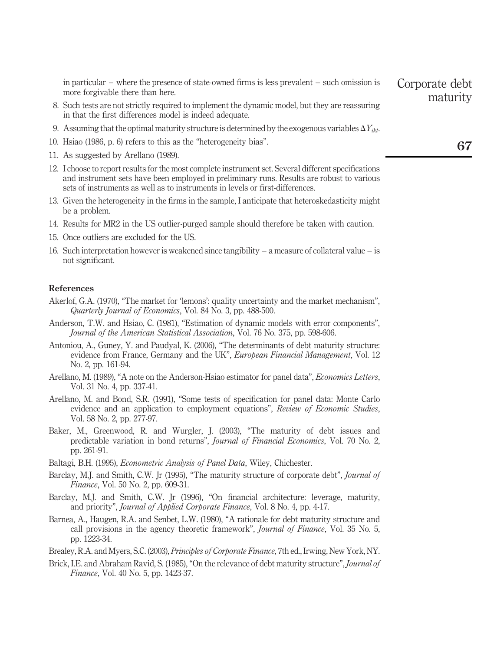in particular – where the presence of state-owned firms is less prevalent – such omission is more forgivable there than here.

- 8. Such tests are not strictly required to implement the dynamic model, but they are reassuring in that the first differences model is indeed adequate.
- 9. Assuming that the optimal maturity structure is determined by the exogenous variables  $\Delta Y_{ikt}$ .
- 10. Hsiao (1986, p. 6) refers to this as the "heterogeneity bias".
- 11. As suggested by Arellano (1989).
- 12. I choose to report results for the most complete instrument set. Several different specifications and instrument sets have been employed in preliminary runs. Results are robust to various sets of instruments as well as to instruments in levels or first-differences.
- 13. Given the heterogeneity in the firms in the sample, I anticipate that heteroskedasticity might be a problem.
- 14. Results for MR2 in the US outlier-purged sample should therefore be taken with caution.
- 15. Once outliers are excluded for the US.
- 16. Such interpretation however is weakened since tangibility a measure of collateral value is not significant.

#### References

- Akerlof, G.A. (1970), "The market for 'lemons': quality uncertainty and the market mechanism", Quarterly Journal of Economics, Vol. 84 No. 3, pp. 488-500.
- Anderson, T.W. and Hsiao, C. (1981), "Estimation of dynamic models with error components", Journal of the American Statistical Association, Vol. 76 No. 375, pp. 598-606.
- Antoniou, A., Guney, Y. and Paudyal, K. (2006), "The determinants of debt maturity structure: evidence from France, Germany and the UK", European Financial Management, Vol. 12 No. 2, pp. 161-94.
- Arellano, M. (1989), "A note on the Anderson-Hsiao estimator for panel data", Economics Letters, Vol. 31 No. 4, pp. 337-41.
- Arellano, M. and Bond, S.R. (1991), "Some tests of specification for panel data: Monte Carlo evidence and an application to employment equations", Review of Economic Studies, Vol. 58 No. 2, pp. 277-97.
- Baker, M., Greenwood, R. and Wurgler, J. (2003), "The maturity of debt issues and predictable variation in bond returns", Journal of Financial Economics, Vol. 70 No. 2, pp. 261-91.
- Baltagi, B.H. (1995), *Econometric Analysis of Panel Data*, Wiley, Chichester.
- Barclay, M.J. and Smith, C.W. Jr (1995), "The maturity structure of corporate debt", *Journal of* Finance, Vol. 50 No. 2, pp. 609-31.
- Barclay, M.J. and Smith, C.W. Jr (1996), "On financial architecture: leverage, maturity, and priority", Journal of Applied Corporate Finance, Vol. 8 No. 4, pp. 4-17.
- Barnea, A., Haugen, R.A. and Senbet, L.W. (1980), "A rationale for debt maturity structure and call provisions in the agency theoretic framework", Journal of Finance, Vol. 35 No. 5, pp. 1223-34.
- Brealey, R.A. and Myers, S.C. (2003), Principles of Corporate Finance, 7th ed., Irwing, New York, NY.
- Brick, I.E. and Abraham Ravid, S. (1985), "On the relevance of debt maturity structure", Journal of Finance, Vol. 40 No. 5, pp. 1423-37.

Corporate debt

maturity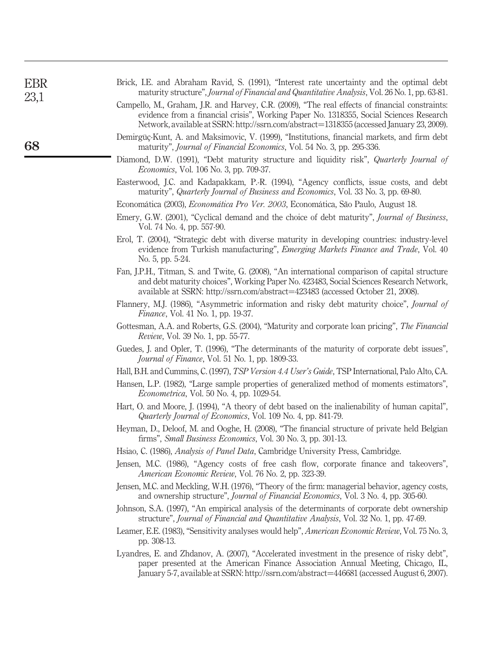| <b>EBR</b><br>23,1 | Brick, I.E. and Abraham Ravid, S. (1991), "Interest rate uncertainty and the optimal debt<br>maturity structure", Journal of Financial and Quantitative Analysis, Vol. 26 No. 1, pp. 63-81.                                                                                            |
|--------------------|----------------------------------------------------------------------------------------------------------------------------------------------------------------------------------------------------------------------------------------------------------------------------------------|
|                    | Campello, M., Graham, J.R. and Harvey, C.R. (2009), "The real effects of financial constraints:<br>evidence from a financial crisis", Working Paper No. 1318355, Social Sciences Research<br>Network, available at SSRN: http://ssrn.com/abstract=1318355 (accessed January 23, 2009). |
| 68                 | Demirgüç-Kunt, A. and Maksimovic, V. (1999), "Institutions, financial markets, and firm debt<br>maturity", <i>Journal of Financial Economics</i> , Vol. 54 No. 3, pp. 295-336.                                                                                                         |
|                    | Diamond, D.W. (1991), "Debt maturity structure and liquidity risk", <i>Quarterly Journal of</i><br>Economics, Vol. 106 No. 3, pp. 709-37.                                                                                                                                              |
|                    | Easterwood, J.C. and Kadapakkam, P.-R. (1994), "Agency conflicts, issue costs, and debt<br>maturity", Quarterly Journal of Business and Economics, Vol. 33 No. 3, pp. 69-80.                                                                                                           |
|                    | Economática (2003), Economática Pro Ver. 2003, Economática, São Paulo, August 18.                                                                                                                                                                                                      |
|                    | Emery, G.W. (2001), "Cyclical demand and the choice of debt maturity", Journal of Business,<br>Vol. 74 No. 4, pp. 557-90.                                                                                                                                                              |
|                    | Erol, T. (2004), "Strategic debt with diverse maturity in developing countries: industry-level<br>evidence from Turkish manufacturing", Emerging Markets Finance and Trade, Vol. 40<br>No. 5, pp. 5-24.                                                                                |
|                    | Fan, J.P.H., Titman, S. and Twite, G. (2008), "An international comparison of capital structure<br>and debt maturity choices", Working Paper No. 423483, Social Sciences Research Network,<br>available at SSRN: http://ssrn.com/abstract=423483 (accessed October 21, 2008).          |
|                    | Flannery, M.J. (1986), "Asymmetric information and risky debt maturity choice", <i>Journal of</i><br><i>Finance</i> , Vol. 41 No. 1, pp. 19-37.                                                                                                                                        |
|                    | Gottesman, A.A. and Roberts, G.S. (2004), "Maturity and corporate loan pricing", The Financial<br><i>Review</i> , Vol. 39 No. 1, pp. 55-77.                                                                                                                                            |
|                    | Guedes, J. and Opler, T. (1996), "The determinants of the maturity of corporate debt issues",<br><i>Journal of Finance</i> , Vol. 51 No. 1, pp. 1809-33.                                                                                                                               |
|                    | Hall, B.H. and Cummins, C. (1997), TSP Version 4.4 User's Guide, TSP International, Palo Alto, CA.                                                                                                                                                                                     |
|                    | Hansen, L.P. (1982), "Large sample properties of generalized method of moments estimators",<br><i>Econometrica</i> , Vol. 50 No. 4, pp. 1029-54.                                                                                                                                       |
|                    | Hart, O. and Moore, J. (1994), "A theory of debt based on the inalienability of human capital",<br><i>Quarterly Journal of Economics, Vol. 109 No. 4, pp. 841-79.</i>                                                                                                                  |
|                    | Heyman, D., Deloof, M. and Ooghe, H. (2008), "The financial structure of private held Belgian<br>firms", Small Business Economics, Vol. 30 No. 3, pp. 301-13.                                                                                                                          |
|                    | Hsiao, C. (1986), <i>Analysis of Panel Data</i> , Cambridge University Press, Cambridge.                                                                                                                                                                                               |
|                    | Jensen, M.C. (1986), "Agency costs of free cash flow, corporate finance and takeovers",<br><i>American Economic Review, Vol. 76 No. 2, pp. 323-39.</i>                                                                                                                                 |
|                    | Jensen, M.C. and Meckling, W.H. (1976), "Theory of the firm: managerial behavior, agency costs,<br>and ownership structure", Journal of Financial Economics, Vol. 3 No. 4, pp. 305-60.                                                                                                 |
|                    | Johnson, S.A. (1997), "An empirical analysis of the determinants of corporate debt ownership<br>structure", Journal of Financial and Quantitative Analysis, Vol. 32 No. 1, pp. 47-69.                                                                                                  |
|                    | Leamer, E.E. (1983), "Sensitivity analyses would help", American Economic Review, Vol. 75 No. 3,<br>pp. 308-13.                                                                                                                                                                        |
|                    | Lyandres, E. and Zhdanov, A. (2007), "Accelerated investment in the presence of risky debt",<br>paper presented at the American Finance Association Annual Meeting, Chicago, IL,<br>January 5-7, available at SSRN: http://ssrn.com/abstract=446681 (accessed August 6, 2007).         |
|                    |                                                                                                                                                                                                                                                                                        |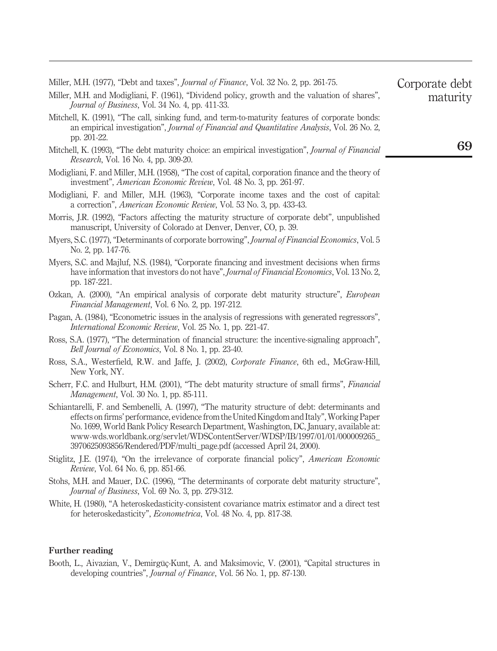|    | <i>Journal of Business, Vol. 34 No. 4, pp. 411-33.</i>                                                                                                                                                                |  |
|----|-----------------------------------------------------------------------------------------------------------------------------------------------------------------------------------------------------------------------|--|
|    | Mitchell, K. (1991), "The call, sinking fund, and term-to-maturity features of corporate bonds:<br>an empirical investigation", <i>Journal of Financial and Quantitative Analysis</i> , Vol. 26 No. 2,<br>pp. 201-22. |  |
| 69 | Mitchell, K. (1993), "The debt maturity choice: an empirical investigation", <i>Journal of Financial</i><br><i>Research</i> , Vol. 16 No. 4, pp. 309-20.                                                              |  |
|    | Modigliani, F. and Miller, M.H. (1958), "The cost of capital, corporation finance and the theory of<br>investment", <i>American Economic Review</i> , Vol. 48 No. 3, pp. 261-97.                                      |  |
|    | Modigliani, F. and Miller, M.H. (1963), "Corporate income taxes and the cost of capital:<br>a correction", American Economic Review, Vol. 53 No. 3, pp. 433-43.                                                       |  |
|    | Morris, J.R. (1992), "Factors affecting the maturity structure of corporate debt", unpublished<br>manuscript, University of Colorado at Denver, Denver, CO, p. 39.                                                    |  |
|    | Myers, S.C. (1977), "Determinants of corporate borrowing", <i>Journal of Financial Economics</i> , Vol. 5<br>No. 2, pp. 147-76.                                                                                       |  |
|    | Myers, S.C. and Majluf, N.S. (1984), "Corporate financing and investment decisions when firms<br>have information that investors do not have", <i>Journal of Financial Economics</i> , Vol. 13 No. 2,<br>pp. 187-221. |  |
|    | Ozkan, A. (2000), "An empirical analysis of corporate debt maturity structure", <i>European</i><br><i>Financial Management, Vol. 6 No. 2, pp. 197-212.</i>                                                            |  |
|    | Pagan, A. (1984), "Econometric issues in the analysis of regressions with generated regressors".<br><i>International Economic Review, Vol. 25 No. 1, pp. 221-47.</i>                                                  |  |

Corporate debt

maturity

Ross, S.A. (1977), "The determination of financial structure: the incentive-signaling approach", Bell Journal of Economics, Vol. 8 No. 1, pp. 23-40.

Miller, M.H. (1977), "Debt and taxes", Journal of Finance, Vol. 32 No. 2, pp. 261-75.

Miller, M.H. and Modigliani, F. (1961), "Dividend policy, growth and the valuation of shares",

- Ross, S.A., Westerfield, R.W. and Jaffe, J. (2002), Corporate Finance, 6th ed., McGraw-Hill, New York, NY.
- Scherr, F.C. and Hulburt, H.M. (2001), "The debt maturity structure of small firms", *Financial* Management, Vol. 30 No. 1, pp. 85-111.
- Schiantarelli, F. and Sembenelli, A. (1997), "The maturity structure of debt: determinants and effects on firms' performance, evidence from the United Kingdom and Italy", Working Paper No. 1699, World Bank Policy Research Department, Washington, DC, January, available at: www-wds.worldbank.org/servlet/WDSContentServer/WDSP/IB/1997/01/01/000009265\_ 3970625093856/Rendered/PDF/multi\_page.pdf (accessed April 24, 2000).
- Stiglitz, J.E. (1974), "On the irrelevance of corporate financial policy", American Economic Review, Vol. 64 No. 6, pp. 851-66.
- Stohs, M.H. and Mauer, D.C. (1996), "The determinants of corporate debt maturity structure", Journal of Business, Vol. 69 No. 3, pp. 279-312.
- White, H. (1980), "A heteroskedasticity-consistent covariance matrix estimator and a direct test for heteroskedasticity", Econometrica, Vol. 48 No. 4, pp. 817-38.

#### Further reading

Booth, L., Aivazian, V., Demirgüç-Kunt, A. and Maksimovic, V. (2001), "Capital structures in developing countries", Journal of Finance, Vol. 56 No. 1, pp. 87-130.